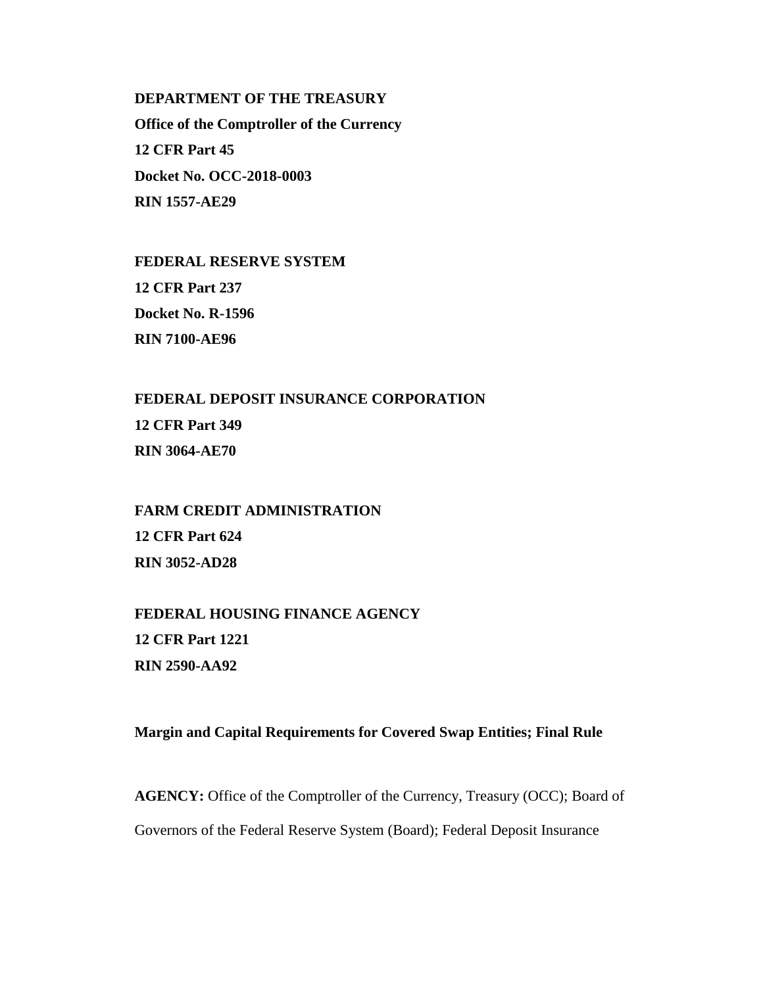**DEPARTMENT OF THE TREASURY Office of the Comptroller of the Currency 12 CFR Part 45 Docket No. OCC-2018-0003 RIN 1557-AE29**

**FEDERAL RESERVE SYSTEM 12 CFR Part 237 Docket No. R-1596 RIN 7100-AE96**

**FEDERAL DEPOSIT INSURANCE CORPORATION 12 CFR Part 349 RIN 3064-AE70**

**FARM CREDIT ADMINISTRATION 12 CFR Part 624 RIN 3052-AD28**

**FEDERAL HOUSING FINANCE AGENCY 12 CFR Part 1221 RIN 2590-AA92**

# **Margin and Capital Requirements for Covered Swap Entities; Final Rule**

**AGENCY:** Office of the Comptroller of the Currency, Treasury (OCC); Board of Governors of the Federal Reserve System (Board); Federal Deposit Insurance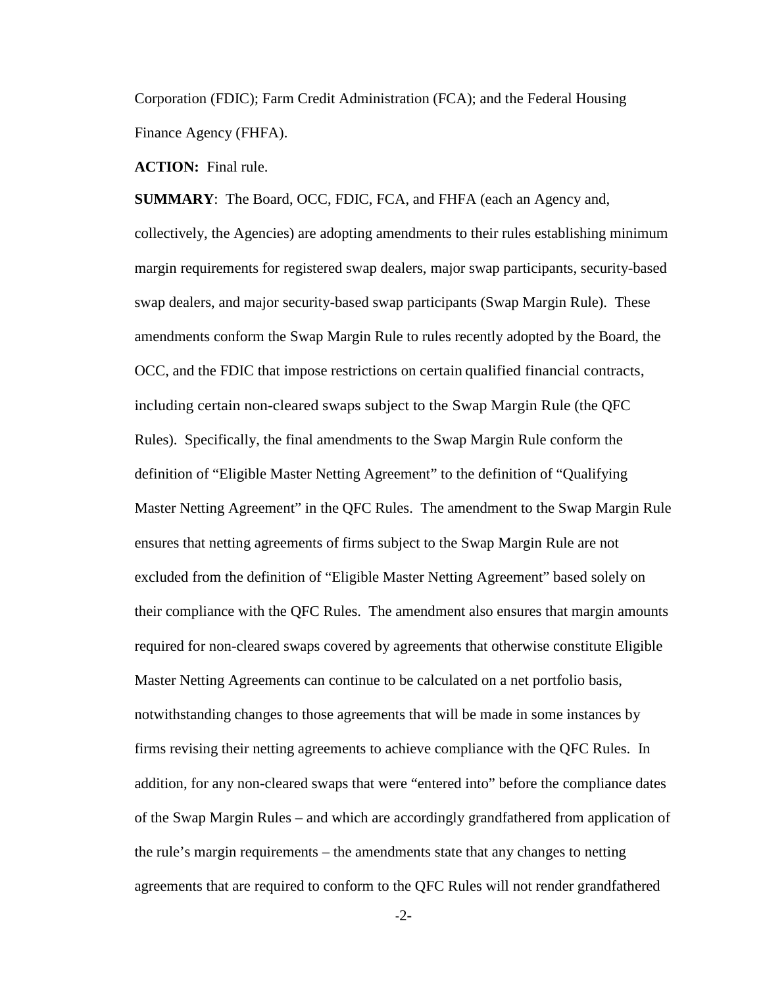Corporation (FDIC); Farm Credit Administration (FCA); and the Federal Housing Finance Agency (FHFA).

**ACTION:**Final rule.

**SUMMARY**: The Board, OCC, FDIC, FCA, and FHFA (each an Agency and, collectively, the Agencies) are adopting amendments to their rules establishing minimum margin requirements for registered swap dealers, major swap participants, security-based swap dealers, and major security-based swap participants (Swap Margin Rule). These amendments conform the Swap Margin Rule to rules recently adopted by the Board, the OCC, and the FDIC that impose restrictions on certain qualified financial contracts, including certain non-cleared swaps subject to the Swap Margin Rule (the QFC Rules). Specifically, the final amendments to the Swap Margin Rule conform the definition of "Eligible Master Netting Agreement" to the definition of "Qualifying Master Netting Agreement" in the QFC Rules. The amendment to the Swap Margin Rule ensures that netting agreements of firms subject to the Swap Margin Rule are not excluded from the definition of "Eligible Master Netting Agreement" based solely on their compliance with the QFC Rules. The amendment also ensures that margin amounts required for non-cleared swaps covered by agreements that otherwise constitute Eligible Master Netting Agreements can continue to be calculated on a net portfolio basis, notwithstanding changes to those agreements that will be made in some instances by firms revising their netting agreements to achieve compliance with the QFC Rules. In addition, for any non-cleared swaps that were "entered into" before the compliance dates of the Swap Margin Rules – and which are accordingly grandfathered from application of the rule's margin requirements – the amendments state that any changes to netting agreements that are required to conform to the QFC Rules will not render grandfathered

-2-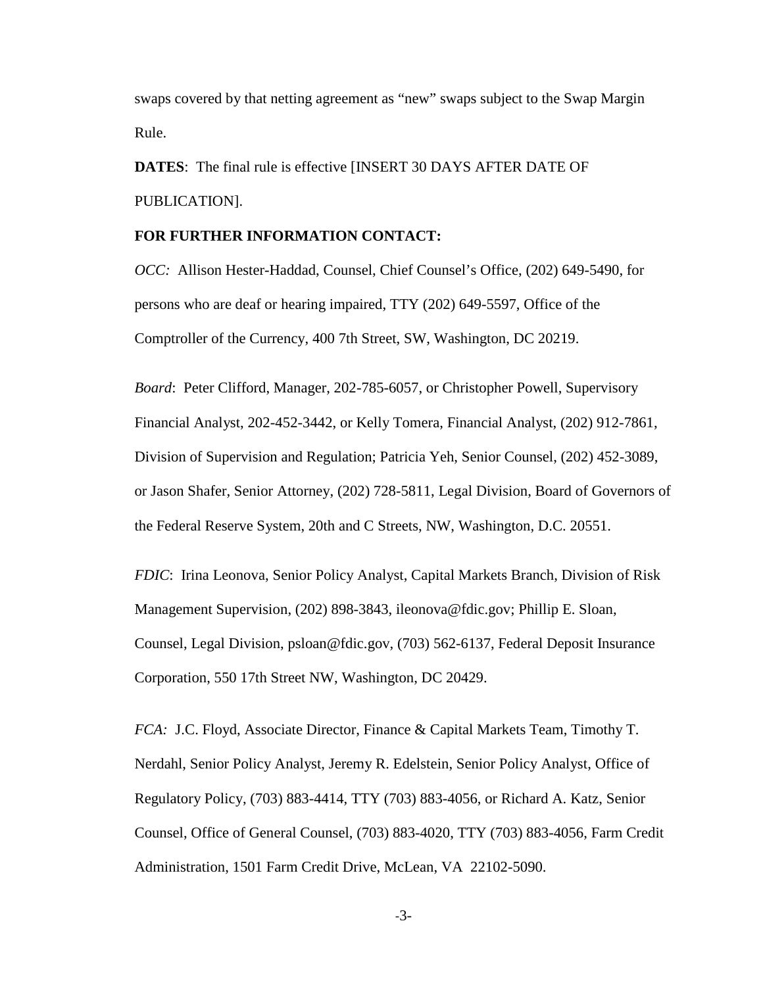swaps covered by that netting agreement as "new" swaps subject to the Swap Margin Rule.

**DATES**: The final rule is effective [INSERT 30 DAYS AFTER DATE OF PUBLICATION].

# **FOR FURTHER INFORMATION CONTACT:**

*OCC:* Allison Hester-Haddad, Counsel, Chief Counsel's Office, (202) 649-5490, for persons who are deaf or hearing impaired, TTY (202) 649-5597, Office of the Comptroller of the Currency, 400 7th Street, SW, Washington, DC 20219.

*Board*: Peter Clifford, Manager, 202-785-6057, or Christopher Powell, Supervisory Financial Analyst, 202-452-3442, or Kelly Tomera, Financial Analyst, (202) 912-7861, Division of Supervision and Regulation; Patricia Yeh, Senior Counsel, (202) 452-3089, or Jason Shafer, Senior Attorney, (202) 728-5811, Legal Division, Board of Governors of the Federal Reserve System, 20th and C Streets, NW, Washington, D.C. 20551.

*FDIC*: Irina Leonova, Senior Policy Analyst, Capital Markets Branch, Division of Risk Management Supervision, (202) 898-3843, ileonova@fdic.gov; Phillip E. Sloan, Counsel, Legal Division, psloan@fdic.gov, (703) 562-6137, Federal Deposit Insurance Corporation, 550 17th Street NW, Washington, DC 20429.

*FCA:* J.C. Floyd, Associate Director, Finance & Capital Markets Team, Timothy T. Nerdahl, Senior Policy Analyst, Jeremy R. Edelstein, Senior Policy Analyst, Office of Regulatory Policy, (703) 883-4414, TTY (703) 883-4056, or Richard A. Katz, Senior Counsel, Office of General Counsel, (703) 883-4020, TTY (703) 883-4056, Farm Credit Administration, 1501 Farm Credit Drive, McLean, VA 22102-5090.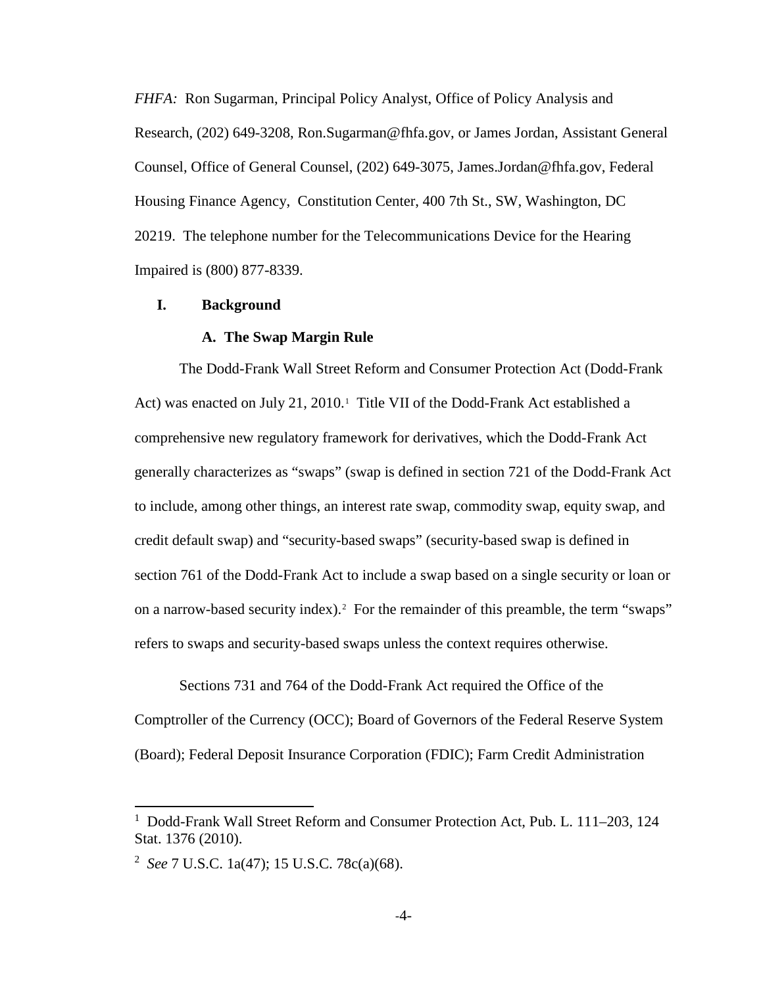*FHFA:* Ron Sugarman, Principal Policy Analyst, Office of Policy Analysis and Research, (202) 649-3208, Ron.Sugarman@fhfa.gov, or James Jordan, Assistant General Counsel, Office of General Counsel, (202) 649-3075, James.Jordan@fhfa.gov, Federal Housing Finance Agency, Constitution Center, 400 7th St., SW, Washington, DC 20219. The telephone number for the Telecommunications Device for the Hearing Impaired is (800) 877-8339.

## **I. Background**

## **A. The Swap Margin Rule**

The Dodd-Frank Wall Street Reform and Consumer Protection Act (Dodd-Frank Act) was enacted on July 2[1](#page-3-0), 2010.<sup>1</sup> Title VII of the Dodd-Frank Act established a comprehensive new regulatory framework for derivatives, which the Dodd-Frank Act generally characterizes as "swaps" (swap is defined in section 721 of the Dodd-Frank Act to include, among other things, an interest rate swap, commodity swap, equity swap, and credit default swap) and "security-based swaps" (security-based swap is defined in section 761 of the Dodd-Frank Act to include a swap based on a single security or loan or on a narrow-based security index).<sup>[2](#page-3-1)</sup> For the remainder of this preamble, the term "swaps" refers to swaps and security-based swaps unless the context requires otherwise.

Sections 731 and 764 of the Dodd-Frank Act required the Office of the Comptroller of the Currency (OCC); Board of Governors of the Federal Reserve System (Board); Federal Deposit Insurance Corporation (FDIC); Farm Credit Administration

 $\overline{\phantom{a}}$ 

<span id="page-3-0"></span><sup>&</sup>lt;sup>1</sup> Dodd-Frank Wall Street Reform and Consumer Protection Act, Pub. L. 111–203, 124 Stat. 1376 (2010).

<span id="page-3-1"></span><sup>2</sup> *See* 7 U.S.C. 1a(47); 15 U.S.C. 78c(a)(68).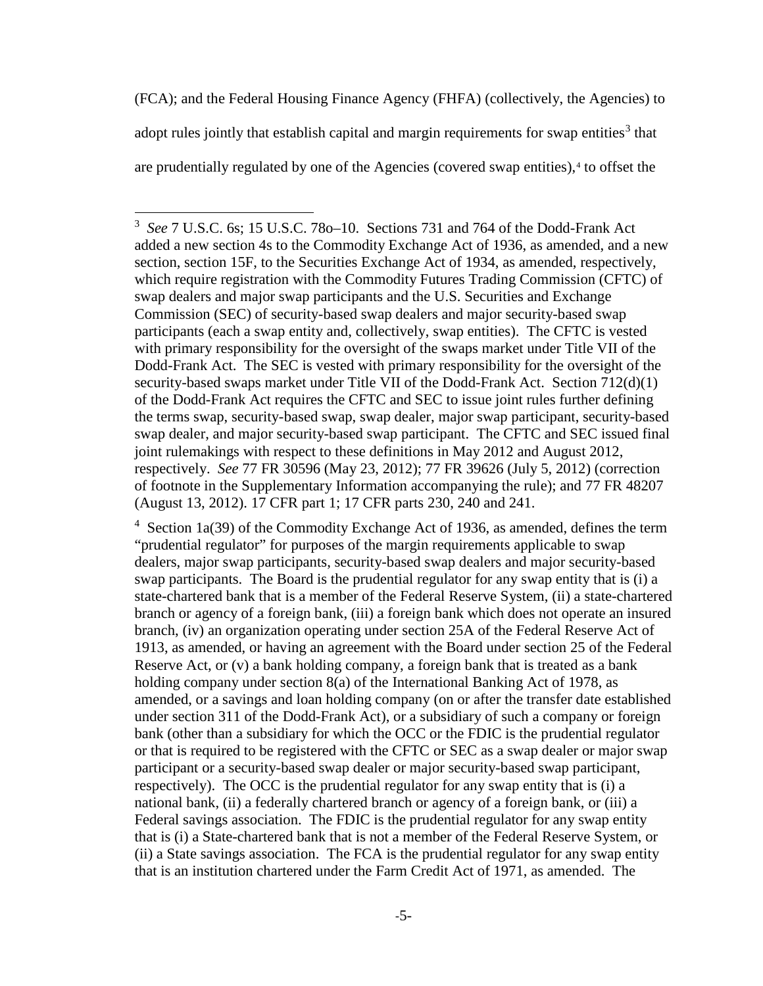(FCA); and the Federal Housing Finance Agency (FHFA) (collectively, the Agencies) to adopt rules jointly that establish capital and margin requirements for swap entities<sup>[3](#page-4-0)</sup> that are prudentially regulated by one of the Agencies (covered swap entities),<sup>[4](#page-4-1)</sup> to offset the

 $\overline{\phantom{a}}$ 

<span id="page-4-1"></span><sup>4</sup> Section 1a(39) of the Commodity Exchange Act of 1936, as amended, defines the term "prudential regulator" for purposes of the margin requirements applicable to swap dealers, major swap participants, security-based swap dealers and major security-based swap participants. The Board is the prudential regulator for any swap entity that is (i) a state-chartered bank that is a member of the Federal Reserve System, (ii) a state-chartered branch or agency of a foreign bank, (iii) a foreign bank which does not operate an insured branch, (iv) an organization operating under section 25A of the Federal Reserve Act of 1913, as amended, or having an agreement with the Board under section 25 of the Federal Reserve Act, or (v) a bank holding company, a foreign bank that is treated as a bank holding company under section 8(a) of the International Banking Act of 1978, as amended, or a savings and loan holding company (on or after the transfer date established under section 311 of the Dodd-Frank Act), or a subsidiary of such a company or foreign bank (other than a subsidiary for which the OCC or the FDIC is the prudential regulator or that is required to be registered with the CFTC or SEC as a swap dealer or major swap participant or a security-based swap dealer or major security-based swap participant, respectively). The OCC is the prudential regulator for any swap entity that is (i) a national bank, (ii) a federally chartered branch or agency of a foreign bank, or (iii) a Federal savings association. The FDIC is the prudential regulator for any swap entity that is (i) a State-chartered bank that is not a member of the Federal Reserve System, or (ii) a State savings association. The FCA is the prudential regulator for any swap entity that is an institution chartered under the Farm Credit Act of 1971, as amended. The

<span id="page-4-0"></span><sup>3</sup> *See* 7 U.S.C. 6s; 15 U.S.C. 78o–10. Sections 731 and 764 of the Dodd-Frank Act added a new section 4s to the Commodity Exchange Act of 1936, as amended, and a new section, section 15F, to the Securities Exchange Act of 1934, as amended, respectively, which require registration with the Commodity Futures Trading Commission (CFTC) of swap dealers and major swap participants and the U.S. Securities and Exchange Commission (SEC) of security-based swap dealers and major security-based swap participants (each a swap entity and, collectively, swap entities). The CFTC is vested with primary responsibility for the oversight of the swaps market under Title VII of the Dodd-Frank Act. The SEC is vested with primary responsibility for the oversight of the security-based swaps market under Title VII of the Dodd-Frank Act. Section 712(d)(1) of the Dodd-Frank Act requires the CFTC and SEC to issue joint rules further defining the terms swap, security-based swap, swap dealer, major swap participant, security-based swap dealer, and major security-based swap participant. The CFTC and SEC issued final joint rulemakings with respect to these definitions in May 2012 and August 2012, respectively. *See* 77 FR 30596 (May 23, 2012); 77 FR 39626 (July 5, 2012) (correction of footnote in the Supplementary Information accompanying the rule); and 77 FR 48207 (August 13, 2012). 17 CFR part 1; 17 CFR parts 230, 240 and 241.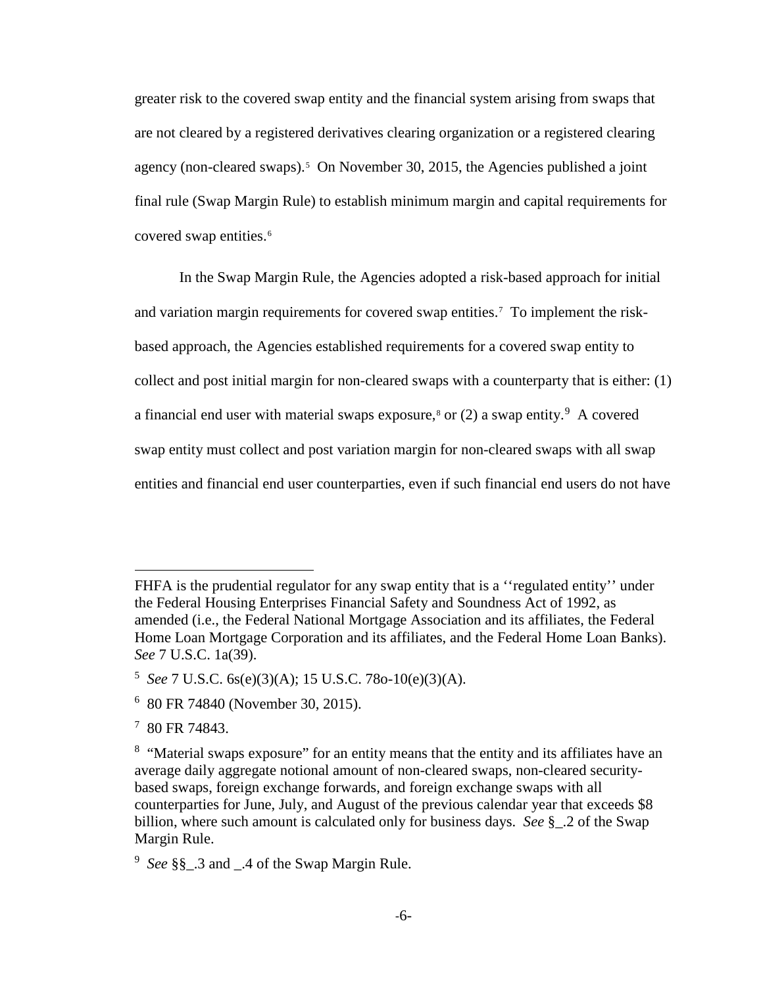greater risk to the covered swap entity and the financial system arising from swaps that are not cleared by a registered derivatives clearing organization or a registered clearing agency (non-cleared swaps).<sup>[5](#page-5-0)</sup> On November 30, 2015, the Agencies published a joint final rule (Swap Margin Rule) to establish minimum margin and capital requirements for covered swap entities.<sup>[6](#page-5-1)</sup>

In the Swap Margin Rule, the Agencies adopted a risk-based approach for initial and variation margin requirements for covered swap entities.<sup>[7](#page-5-2)</sup> To implement the riskbased approach, the Agencies established requirements for a covered swap entity to collect and post initial margin for non-cleared swaps with a counterparty that is either: (1) a financial end user with material swaps exposure,<sup>[8](#page-5-3)</sup> or (2) a swap entity.<sup>[9](#page-5-4)</sup> A covered swap entity must collect and post variation margin for non-cleared swaps with all swap entities and financial end user counterparties, even if such financial end users do not have

FHFA is the prudential regulator for any swap entity that is a "regulated entity" under the Federal Housing Enterprises Financial Safety and Soundness Act of 1992, as amended (i.e., the Federal National Mortgage Association and its affiliates, the Federal Home Loan Mortgage Corporation and its affiliates, and the Federal Home Loan Banks). *See* 7 U.S.C. 1a(39).

<span id="page-5-0"></span><sup>5</sup> *See* 7 U.S.C. 6s(e)(3)(A); 15 U.S.C. 78o-10(e)(3)(A).

<span id="page-5-1"></span><sup>6</sup> 80 FR 74840 (November 30, 2015).

<span id="page-5-2"></span><sup>7</sup> 80 FR 74843.

<span id="page-5-3"></span><sup>&</sup>lt;sup>8</sup> "Material swaps exposure" for an entity means that the entity and its affiliates have an average daily aggregate notional amount of non-cleared swaps, non-cleared securitybased swaps, foreign exchange forwards, and foreign exchange swaps with all counterparties for June, July, and August of the previous calendar year that exceeds \$8 billion, where such amount is calculated only for business days. *See* §\_.2 of the Swap Margin Rule.

<span id="page-5-4"></span><sup>9</sup> *See* §§\_.3 and \_.4 of the Swap Margin Rule.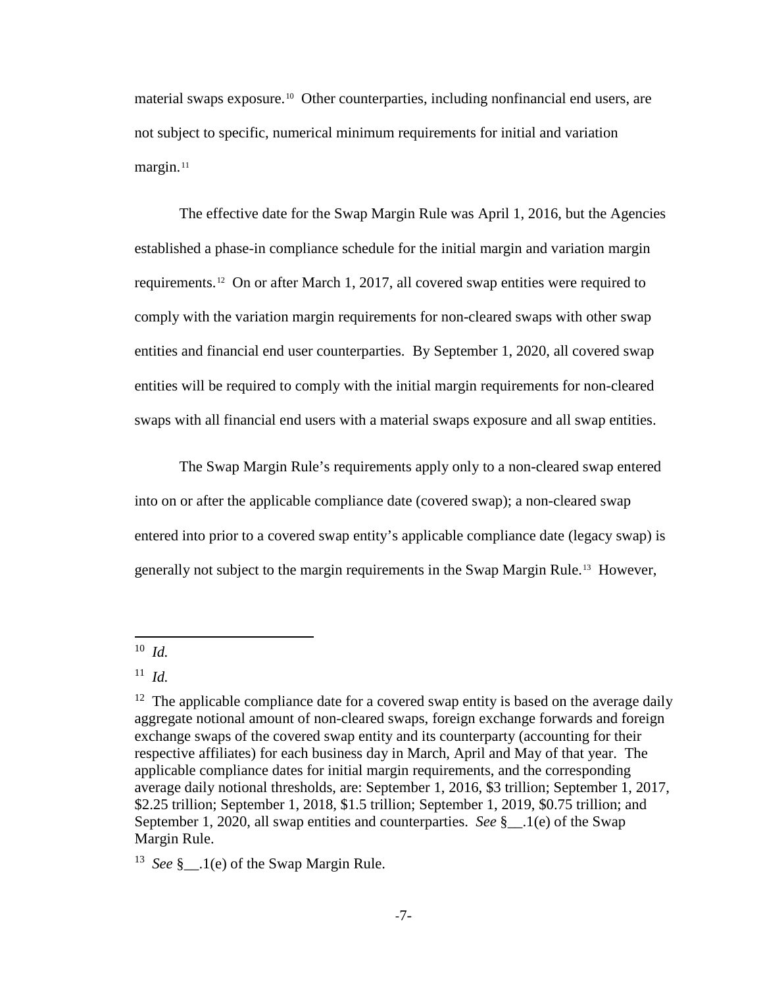material swaps exposure.<sup>10</sup> Other counterparties, including nonfinancial end users, are not subject to specific, numerical minimum requirements for initial and variation margin.<sup>[11](#page-6-1)</sup>

The effective date for the Swap Margin Rule was April 1, 2016, but the Agencies established a phase-in compliance schedule for the initial margin and variation margin requirements.[12](#page-6-2) On or after March 1, 2017, all covered swap entities were required to comply with the variation margin requirements for non-cleared swaps with other swap entities and financial end user counterparties. By September 1, 2020, all covered swap entities will be required to comply with the initial margin requirements for non-cleared swaps with all financial end users with a material swaps exposure and all swap entities.

The Swap Margin Rule's requirements apply only to a non-cleared swap entered into on or after the applicable compliance date (covered swap); a non-cleared swap entered into prior to a covered swap entity's applicable compliance date (legacy swap) is generally not subject to the margin requirements in the Swap Margin Rule.[13](#page-6-3) However,

l

<span id="page-6-3"></span><sup>13</sup> *See* § .1(e) of the Swap Margin Rule.

<span id="page-6-0"></span><sup>10</sup> *Id.*

<span id="page-6-1"></span> $11$  *Id.* 

<span id="page-6-2"></span> $12$  The applicable compliance date for a covered swap entity is based on the average daily aggregate notional amount of non-cleared swaps, foreign exchange forwards and foreign exchange swaps of the covered swap entity and its counterparty (accounting for their respective affiliates) for each business day in March, April and May of that year. The applicable compliance dates for initial margin requirements, and the corresponding average daily notional thresholds, are: September 1, 2016, \$3 trillion; September 1, 2017, \$2.25 trillion; September 1, 2018, \$1.5 trillion; September 1, 2019, \$0.75 trillion; and September 1, 2020, all swap entities and counterparties. *See* §\_\_.1(e) of the Swap Margin Rule.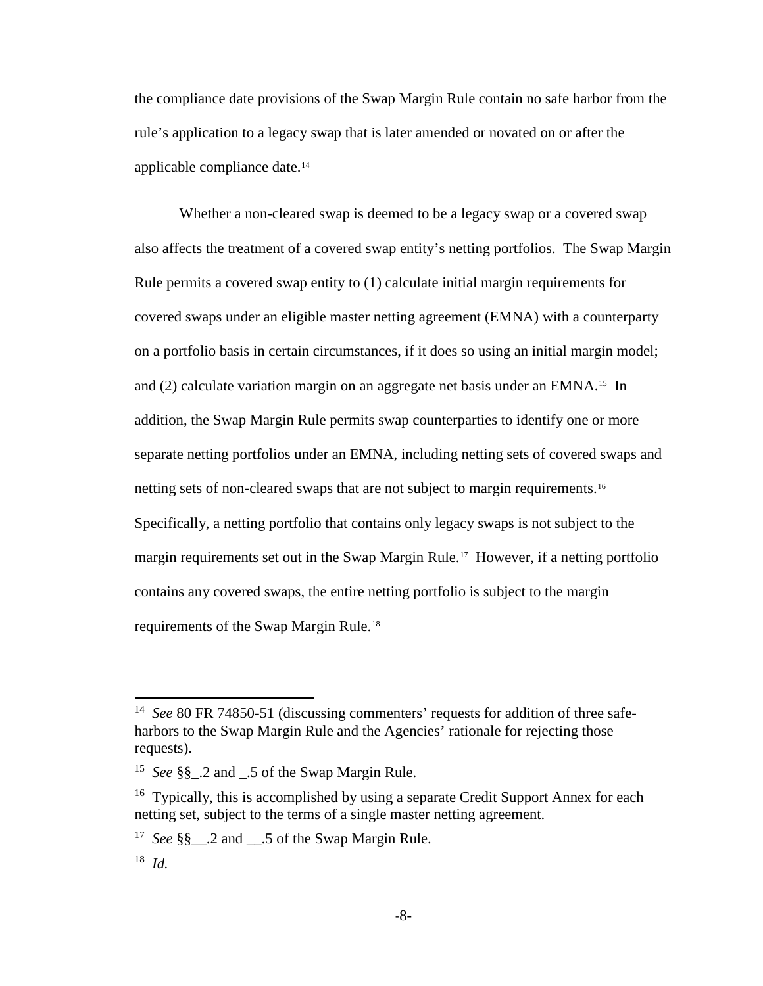the compliance date provisions of the Swap Margin Rule contain no safe harbor from the rule's application to a legacy swap that is later amended or novated on or after the applicable compliance date.[14](#page-7-0) 

Whether a non-cleared swap is deemed to be a legacy swap or a covered swap also affects the treatment of a covered swap entity's netting portfolios. The Swap Margin Rule permits a covered swap entity to (1) calculate initial margin requirements for covered swaps under an eligible master netting agreement (EMNA) with a counterparty on a portfolio basis in certain circumstances, if it does so using an initial margin model; and (2) calculate variation margin on an aggregate net basis under an EMNA.[15](#page-7-1) In addition, the Swap Margin Rule permits swap counterparties to identify one or more separate netting portfolios under an EMNA, including netting sets of covered swaps and netting sets of non-cleared swaps that are not subject to margin requirements. [16](#page-7-2) Specifically, a netting portfolio that contains only legacy swaps is not subject to the margin requirements set out in the Swap Margin Rule.<sup>17</sup> However, if a netting portfolio contains any covered swaps, the entire netting portfolio is subject to the margin requirements of the Swap Margin Rule.[18](#page-7-4)

 $\overline{\phantom{a}}$ 

<span id="page-7-0"></span><sup>14</sup> *See* 80 FR 74850-51 (discussing commenters' requests for addition of three safeharbors to the Swap Margin Rule and the Agencies' rationale for rejecting those requests).

<span id="page-7-1"></span><sup>15</sup> *See* §§\_.2 and \_.5 of the Swap Margin Rule.

<span id="page-7-2"></span><sup>&</sup>lt;sup>16</sup> Typically, this is accomplished by using a separate Credit Support Annex for each netting set, subject to the terms of a single master netting agreement.

<span id="page-7-3"></span><sup>&</sup>lt;sup>17</sup> *See* §§ .2 and .5 of the Swap Margin Rule.

<span id="page-7-4"></span><sup>18</sup> *Id.*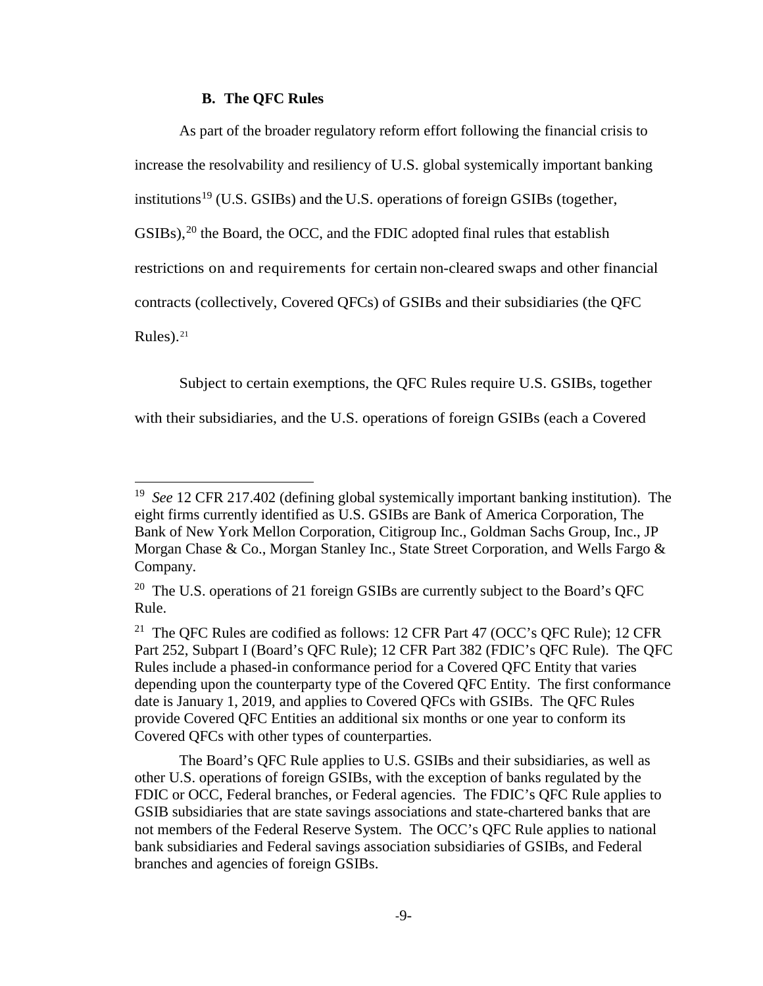# **B. The QFC Rules**

l

As part of the broader regulatory reform effort following the financial crisis to increase the resolvability and resiliency of U.S. global systemically important banking institutions<sup>[19](#page-8-0)</sup> (U.S. GSIBs) and the U.S. operations of foreign GSIBs (together,  $GSIBs$ ),<sup>[20](#page-8-1)</sup> the Board, the OCC, and the FDIC adopted final rules that establish restrictions on and requirements for certain non-cleared swaps and other financial contracts (collectively, Covered QFCs) of GSIBs and their subsidiaries (the QFC Rules). $21$ 

Subject to certain exemptions, the QFC Rules require U.S. GSIBs, together with their subsidiaries, and the U.S. operations of foreign GSIBs (each a Covered

The Board's QFC Rule applies to U.S. GSIBs and their subsidiaries, as well as other U.S. operations of foreign GSIBs, with the exception of banks regulated by the FDIC or OCC, Federal branches, or Federal agencies. The FDIC's QFC Rule applies to GSIB subsidiaries that are state savings associations and state-chartered banks that are not members of the Federal Reserve System. The OCC's QFC Rule applies to national bank subsidiaries and Federal savings association subsidiaries of GSIBs, and Federal branches and agencies of foreign GSIBs.

<span id="page-8-0"></span><sup>19</sup> *See* 12 CFR 217.402 (defining global systemically important banking institution). The eight firms currently identified as U.S. GSIBs are Bank of America Corporation, The Bank of New York Mellon Corporation, Citigroup Inc., Goldman Sachs Group, Inc., JP Morgan Chase & Co., Morgan Stanley Inc., State Street Corporation, and Wells Fargo & Company.

<span id="page-8-1"></span><sup>&</sup>lt;sup>20</sup> The U.S. operations of 21 foreign GSIBs are currently subject to the Board's QFC Rule.

<span id="page-8-2"></span><sup>&</sup>lt;sup>21</sup> The QFC Rules are codified as follows: 12 CFR Part 47 (OCC's QFC Rule); 12 CFR Part 252, Subpart I (Board's QFC Rule); 12 CFR Part 382 (FDIC's QFC Rule). The QFC Rules include a phased-in conformance period for a Covered QFC Entity that varies depending upon the counterparty type of the Covered QFC Entity. The first conformance date is January 1, 2019, and applies to Covered QFCs with GSIBs. The QFC Rules provide Covered QFC Entities an additional six months or one year to conform its Covered QFCs with other types of counterparties.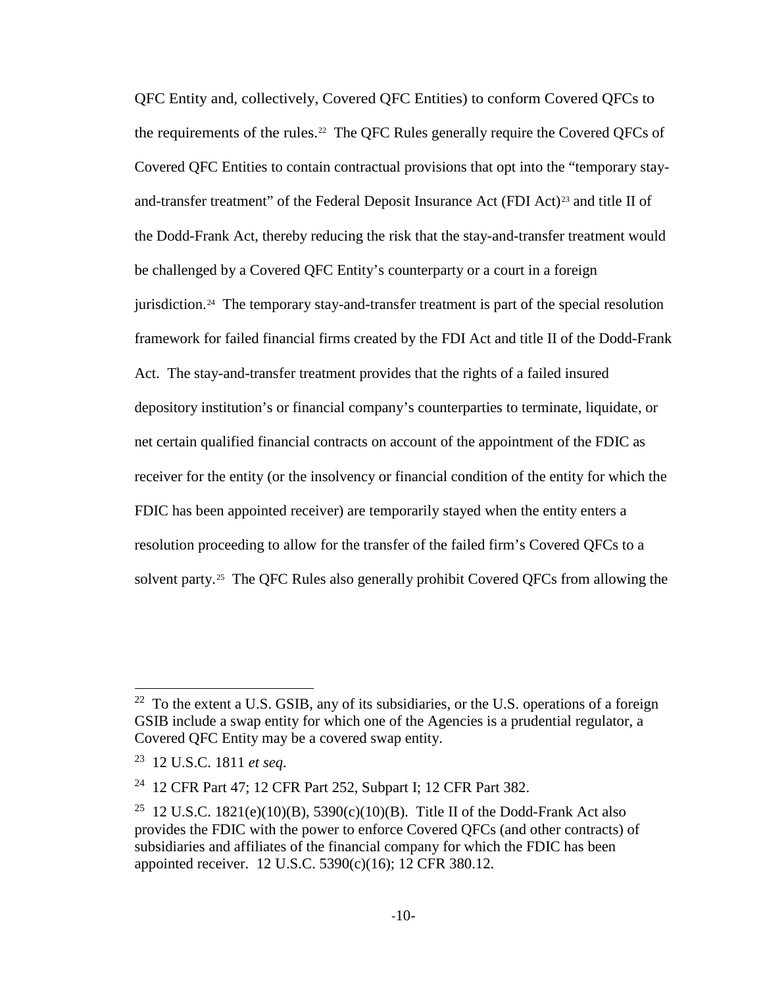QFC Entity and, collectively, Covered QFC Entities) to conform Covered QFCs to the requirements of the rules.<sup>[22](#page-9-0)</sup> The QFC Rules generally require the Covered QFCs of Covered QFC Entities to contain contractual provisions that opt into the "temporary stay-and-transfer treatment" of the Federal Deposit Insurance Act (FDI Act)<sup>[23](#page-9-1)</sup> and title II of the Dodd-Frank Act, thereby reducing the risk that the stay-and-transfer treatment would be challenged by a Covered QFC Entity's counterparty or a court in a foreign jurisdiction.<sup>24</sup> The temporary stay-and-transfer treatment is part of the special resolution framework for failed financial firms created by the FDI Act and title II of the Dodd-Frank Act. The stay-and-transfer treatment provides that the rights of a failed insured depository institution's or financial company's counterparties to terminate, liquidate, or net certain qualified financial contracts on account of the appointment of the FDIC as receiver for the entity (or the insolvency or financial condition of the entity for which the FDIC has been appointed receiver) are temporarily stayed when the entity enters a resolution proceeding to allow for the transfer of the failed firm's Covered QFCs to a solvent party.<sup>[25](#page-9-3)</sup> The QFC Rules also generally prohibit Covered QFCs from allowing the

 $\overline{a}$ 

<span id="page-9-0"></span> $22$  To the extent a U.S. GSIB, any of its subsidiaries, or the U.S. operations of a foreign GSIB include a swap entity for which one of the Agencies is a prudential regulator, a Covered QFC Entity may be a covered swap entity.

<span id="page-9-1"></span><sup>23 12</sup> U.S.C. 1811 *et seq*.

<span id="page-9-2"></span><sup>&</sup>lt;sup>24</sup> 12 CFR Part 47; 12 CFR Part 252, Subpart I; 12 CFR Part 382.

<span id="page-9-3"></span><sup>&</sup>lt;sup>25</sup> 12 U.S.C. 1821(e)(10)(B), 5390(c)(10)(B). Title II of the Dodd-Frank Act also provides the FDIC with the power to enforce Covered QFCs (and other contracts) of subsidiaries and affiliates of the financial company for which the FDIC has been appointed receiver. 12 U.S.C. 5390(c)(16); 12 CFR 380.12.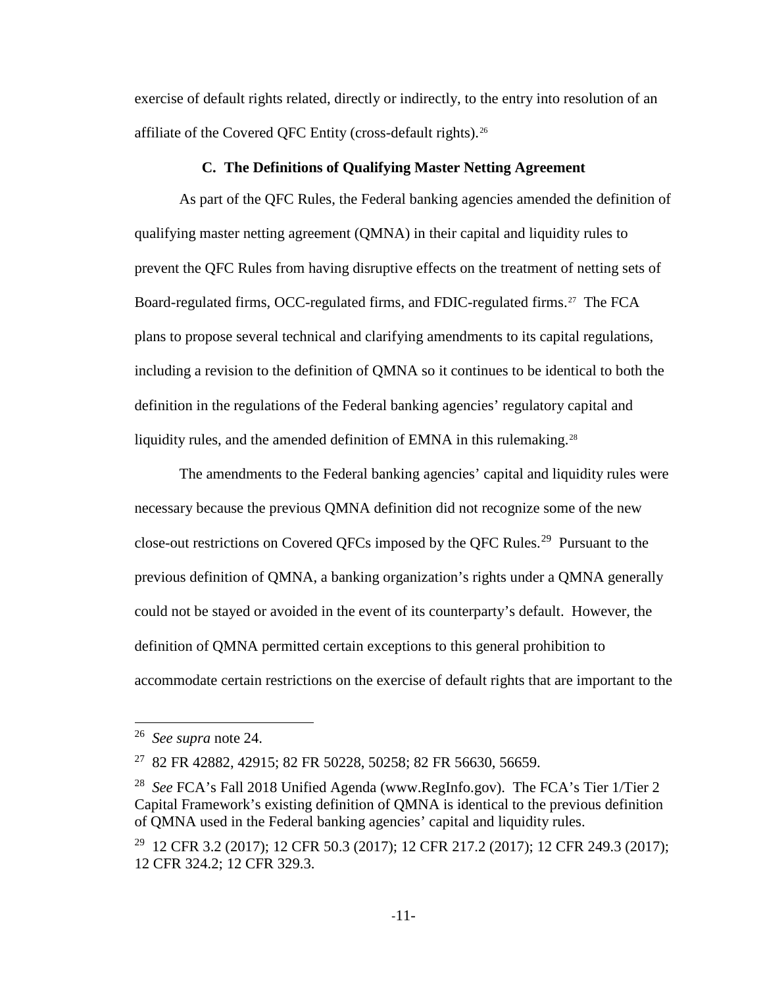exercise of default rights related, directly or indirectly, to the entry into resolution of an affiliate of the Covered QFC Entity (cross-default rights).<sup>[26](#page-10-0)</sup>

# **C. The Definitions of Qualifying Master Netting Agreement**

As part of the QFC Rules, the Federal banking agencies amended the definition of qualifying master netting agreement (QMNA) in their capital and liquidity rules to prevent the QFC Rules from having disruptive effects on the treatment of netting sets of Board-regulated firms, OCC-regulated firms, and FDIC-regulated firms.<sup>27</sup> The FCA plans to propose several technical and clarifying amendments to its capital regulations, including a revision to the definition of QMNA so it continues to be identical to both the definition in the regulations of the Federal banking agencies' regulatory capital and liquidity rules, and the amended definition of EMNA in this rulemaking.<sup>[28](#page-10-2)</sup>

The amendments to the Federal banking agencies' capital and liquidity rules were necessary because the previous QMNA definition did not recognize some of the new close-out restrictions on Covered QFCs imposed by the QFC Rules.<sup>29</sup> Pursuant to the previous definition of QMNA, a banking organization's rights under a QMNA generally could not be stayed or avoided in the event of its counterparty's default. However, the definition of QMNA permitted certain exceptions to this general prohibition to accommodate certain restrictions on the exercise of default rights that are important to the

<span id="page-10-0"></span><sup>26</sup> *See supra* note 24.

<span id="page-10-1"></span><sup>27 82</sup> FR 42882, 42915; 82 FR 50228, 50258; 82 FR 56630, 56659.

<span id="page-10-2"></span><sup>28</sup> *See* FCA's Fall 2018 Unified Agenda (www.RegInfo.gov). The FCA's Tier 1/Tier 2 Capital Framework's existing definition of QMNA is identical to the previous definition of QMNA used in the Federal banking agencies' capital and liquidity rules.

<span id="page-10-3"></span><sup>&</sup>lt;sup>29</sup> 12 CFR 3.2 (2017); 12 CFR 50.3 (2017); 12 CFR 217.2 (2017); 12 CFR 249.3 (2017); 12 CFR 324.2; 12 CFR 329.3.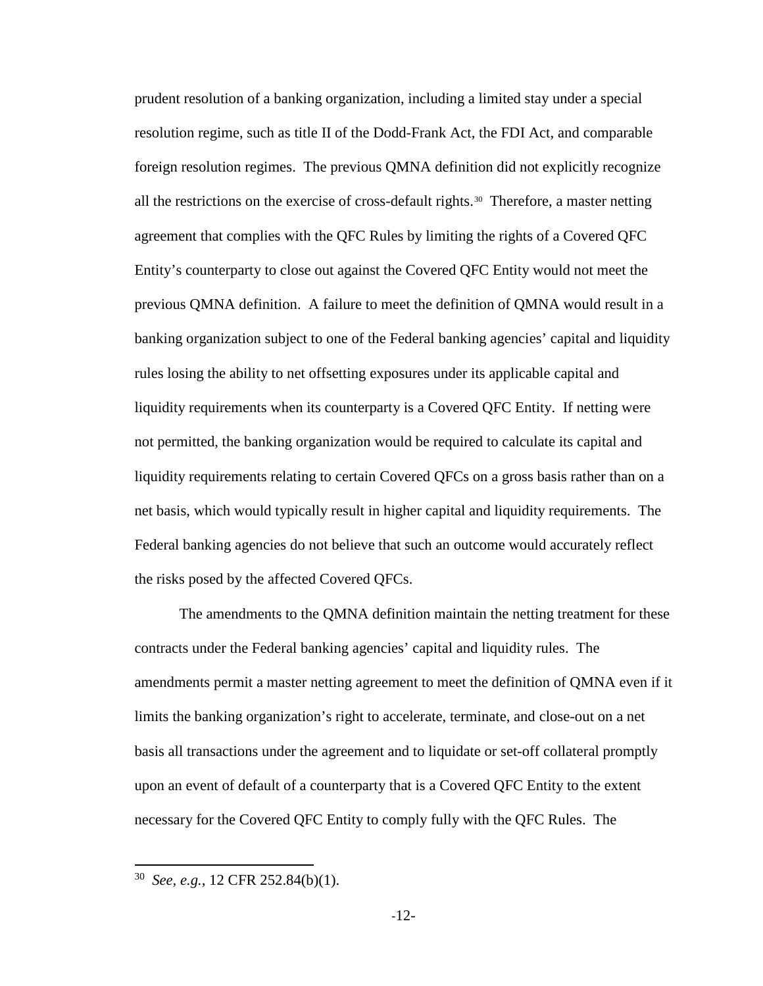prudent resolution of a banking organization, including a limited stay under a special resolution regime, such as title II of the Dodd-Frank Act, the FDI Act, and comparable foreign resolution regimes. The previous QMNA definition did not explicitly recognize all the restrictions on the exercise of cross-default rights.<sup>[30](#page-11-0)</sup> Therefore, a master netting agreement that complies with the QFC Rules by limiting the rights of a Covered QFC Entity's counterparty to close out against the Covered QFC Entity would not meet the previous QMNA definition. A failure to meet the definition of QMNA would result in a banking organization subject to one of the Federal banking agencies' capital and liquidity rules losing the ability to net offsetting exposures under its applicable capital and liquidity requirements when its counterparty is a Covered QFC Entity. If netting were not permitted, the banking organization would be required to calculate its capital and liquidity requirements relating to certain Covered QFCs on a gross basis rather than on a net basis, which would typically result in higher capital and liquidity requirements. The Federal banking agencies do not believe that such an outcome would accurately reflect the risks posed by the affected Covered QFCs.

The amendments to the QMNA definition maintain the netting treatment for these contracts under the Federal banking agencies' capital and liquidity rules. The amendments permit a master netting agreement to meet the definition of QMNA even if it limits the banking organization's right to accelerate, terminate, and close-out on a net basis all transactions under the agreement and to liquidate or set-off collateral promptly upon an event of default of a counterparty that is a Covered QFC Entity to the extent necessary for the Covered QFC Entity to comply fully with the QFC Rules. The

<span id="page-11-0"></span><sup>30</sup> *See, e.g.,* 12 CFR 252.84(b)(1).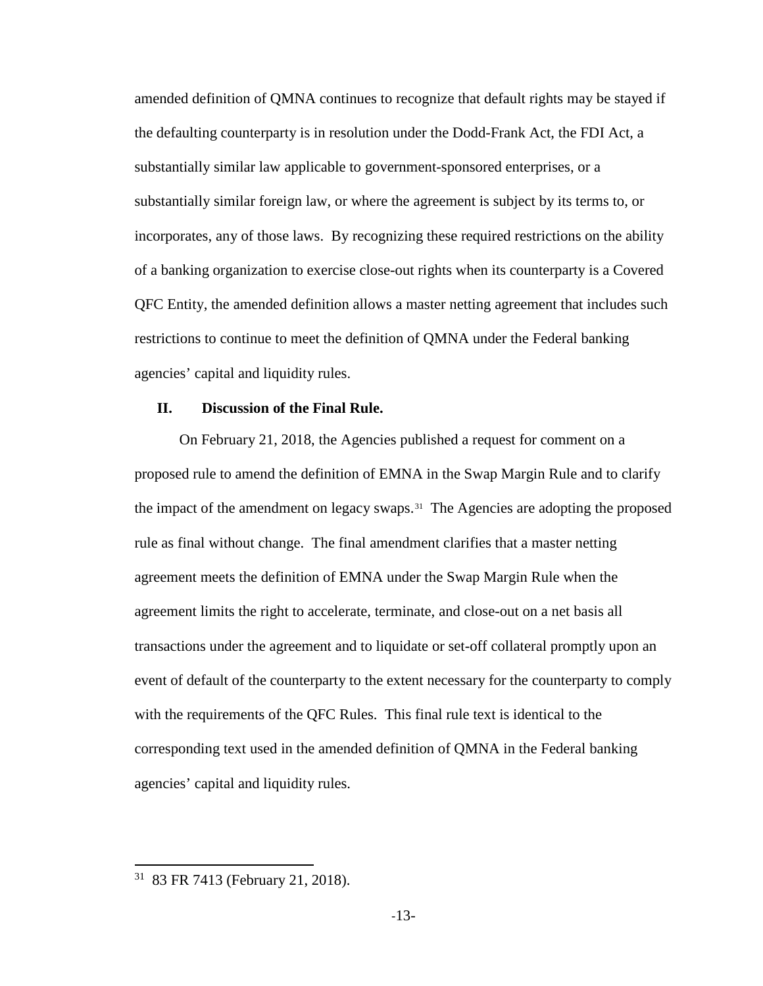amended definition of QMNA continues to recognize that default rights may be stayed if the defaulting counterparty is in resolution under the Dodd-Frank Act, the FDI Act, a substantially similar law applicable to government-sponsored enterprises, or a substantially similar foreign law, or where the agreement is subject by its terms to, or incorporates, any of those laws. By recognizing these required restrictions on the ability of a banking organization to exercise close-out rights when its counterparty is a Covered QFC Entity, the amended definition allows a master netting agreement that includes such restrictions to continue to meet the definition of QMNA under the Federal banking agencies' capital and liquidity rules.

# **II. Discussion of the Final Rule.**

On February 21, 2018, the Agencies published a request for comment on a proposed rule to amend the definition of EMNA in the Swap Margin Rule and to clarify the impact of the amendment on legacy swaps.<sup>31</sup> The Agencies are adopting the proposed rule as final without change. The final amendment clarifies that a master netting agreement meets the definition of EMNA under the Swap Margin Rule when the agreement limits the right to accelerate, terminate, and close-out on a net basis all transactions under the agreement and to liquidate or set-off collateral promptly upon an event of default of the counterparty to the extent necessary for the counterparty to comply with the requirements of the QFC Rules. This final rule text is identical to the corresponding text used in the amended definition of QMNA in the Federal banking agencies' capital and liquidity rules.

<span id="page-12-0"></span><sup>31 83</sup> FR 7413 (February 21, 2018).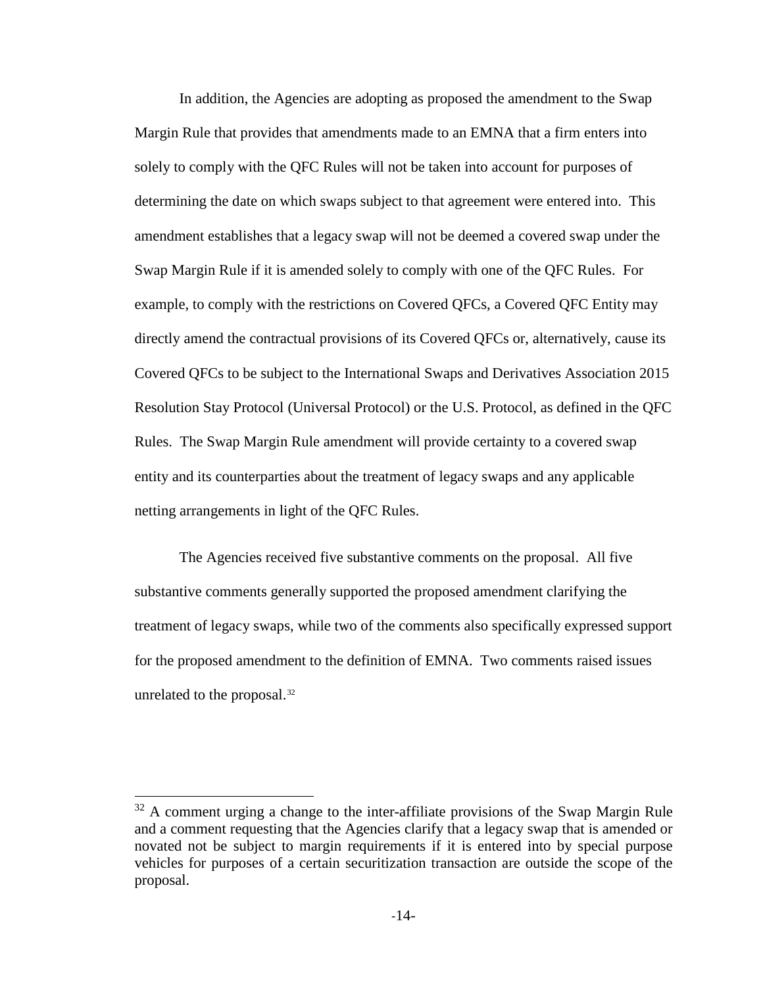In addition, the Agencies are adopting as proposed the amendment to the Swap Margin Rule that provides that amendments made to an EMNA that a firm enters into solely to comply with the QFC Rules will not be taken into account for purposes of determining the date on which swaps subject to that agreement were entered into. This amendment establishes that a legacy swap will not be deemed a covered swap under the Swap Margin Rule if it is amended solely to comply with one of the QFC Rules. For example, to comply with the restrictions on Covered QFCs, a Covered QFC Entity may directly amend the contractual provisions of its Covered QFCs or, alternatively, cause its Covered QFCs to be subject to the International Swaps and Derivatives Association 2015 Resolution Stay Protocol (Universal Protocol) or the U.S. Protocol, as defined in the QFC Rules. The Swap Margin Rule amendment will provide certainty to a covered swap entity and its counterparties about the treatment of legacy swaps and any applicable netting arrangements in light of the QFC Rules.

The Agencies received five substantive comments on the proposal. All five substantive comments generally supported the proposed amendment clarifying the treatment of legacy swaps, while two of the comments also specifically expressed support for the proposed amendment to the definition of EMNA. Two comments raised issues unrelated to the proposal.<sup>[32](#page-13-0)</sup>

 $\overline{a}$ 

<span id="page-13-0"></span><sup>&</sup>lt;sup>32</sup> A comment urging a change to the inter-affiliate provisions of the Swap Margin Rule and a comment requesting that the Agencies clarify that a legacy swap that is amended or novated not be subject to margin requirements if it is entered into by special purpose vehicles for purposes of a certain securitization transaction are outside the scope of the proposal.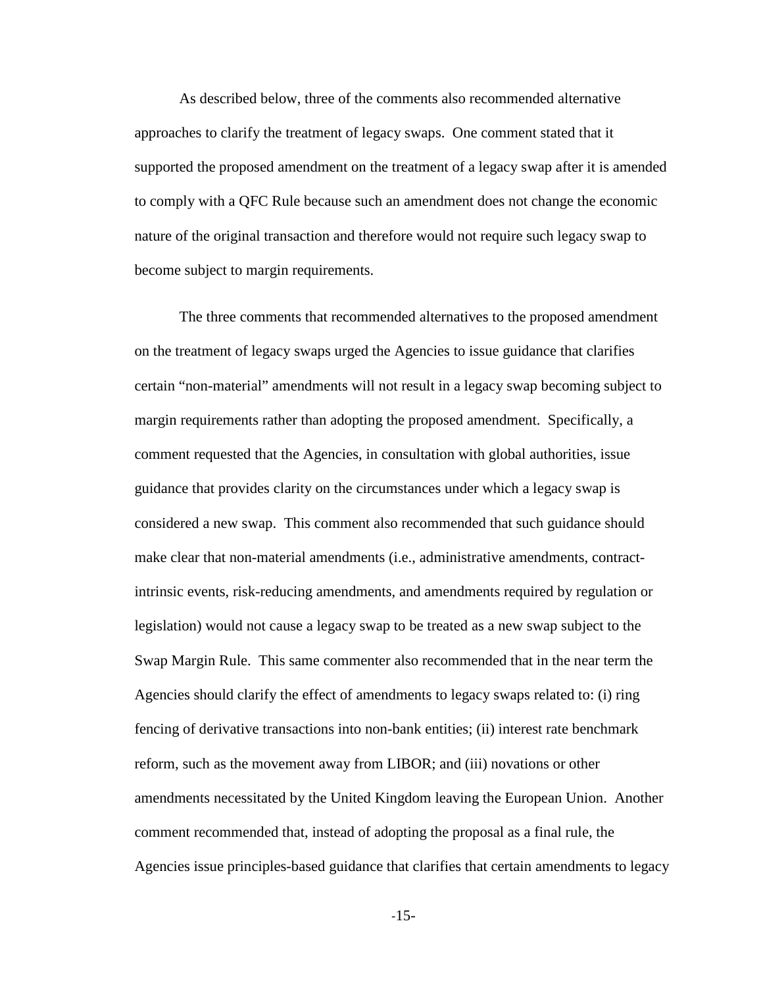As described below, three of the comments also recommended alternative approaches to clarify the treatment of legacy swaps. One comment stated that it supported the proposed amendment on the treatment of a legacy swap after it is amended to comply with a QFC Rule because such an amendment does not change the economic nature of the original transaction and therefore would not require such legacy swap to become subject to margin requirements.

The three comments that recommended alternatives to the proposed amendment on the treatment of legacy swaps urged the Agencies to issue guidance that clarifies certain "non-material" amendments will not result in a legacy swap becoming subject to margin requirements rather than adopting the proposed amendment. Specifically, a comment requested that the Agencies, in consultation with global authorities, issue guidance that provides clarity on the circumstances under which a legacy swap is considered a new swap. This comment also recommended that such guidance should make clear that non-material amendments (i.e., administrative amendments, contractintrinsic events, risk-reducing amendments, and amendments required by regulation or legislation) would not cause a legacy swap to be treated as a new swap subject to the Swap Margin Rule. This same commenter also recommended that in the near term the Agencies should clarify the effect of amendments to legacy swaps related to: (i) ring fencing of derivative transactions into non-bank entities; (ii) interest rate benchmark reform, such as the movement away from LIBOR; and (iii) novations or other amendments necessitated by the United Kingdom leaving the European Union. Another comment recommended that, instead of adopting the proposal as a final rule, the Agencies issue principles-based guidance that clarifies that certain amendments to legacy

-15-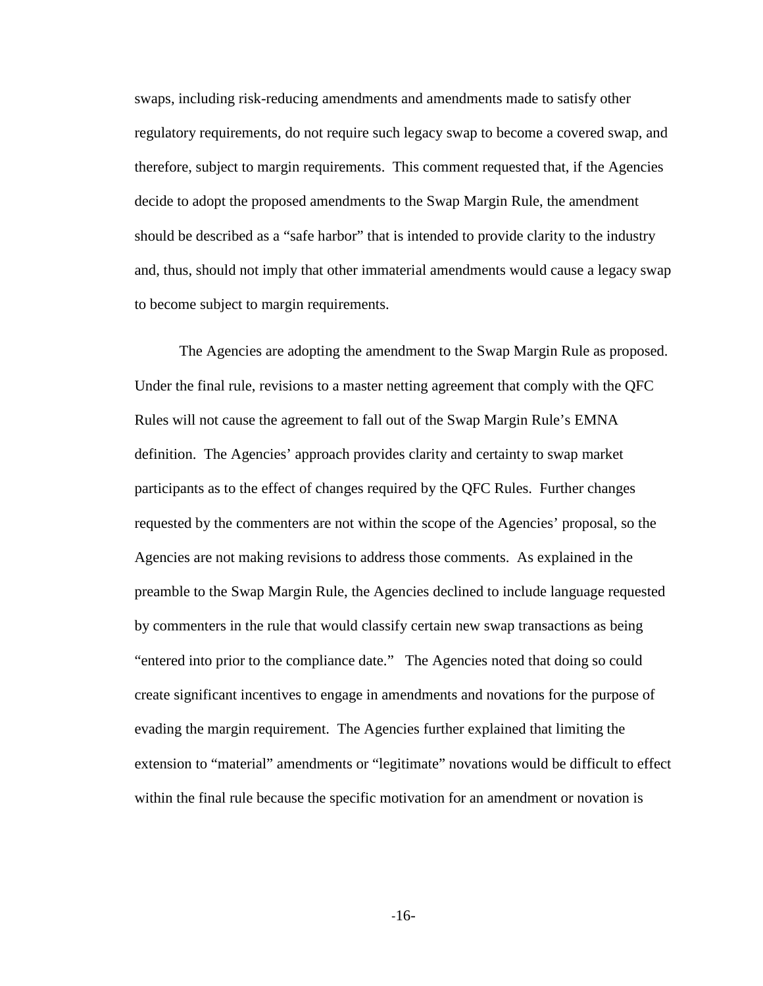swaps, including risk-reducing amendments and amendments made to satisfy other regulatory requirements, do not require such legacy swap to become a covered swap, and therefore, subject to margin requirements. This comment requested that, if the Agencies decide to adopt the proposed amendments to the Swap Margin Rule, the amendment should be described as a "safe harbor" that is intended to provide clarity to the industry and, thus, should not imply that other immaterial amendments would cause a legacy swap to become subject to margin requirements.

The Agencies are adopting the amendment to the Swap Margin Rule as proposed. Under the final rule, revisions to a master netting agreement that comply with the QFC Rules will not cause the agreement to fall out of the Swap Margin Rule's EMNA definition. The Agencies' approach provides clarity and certainty to swap market participants as to the effect of changes required by the QFC Rules. Further changes requested by the commenters are not within the scope of the Agencies' proposal, so the Agencies are not making revisions to address those comments. As explained in the preamble to the Swap Margin Rule, the Agencies declined to include language requested by commenters in the rule that would classify certain new swap transactions as being "entered into prior to the compliance date." The Agencies noted that doing so could create significant incentives to engage in amendments and novations for the purpose of evading the margin requirement. The Agencies further explained that limiting the extension to "material" amendments or "legitimate" novations would be difficult to effect within the final rule because the specific motivation for an amendment or novation is

-16-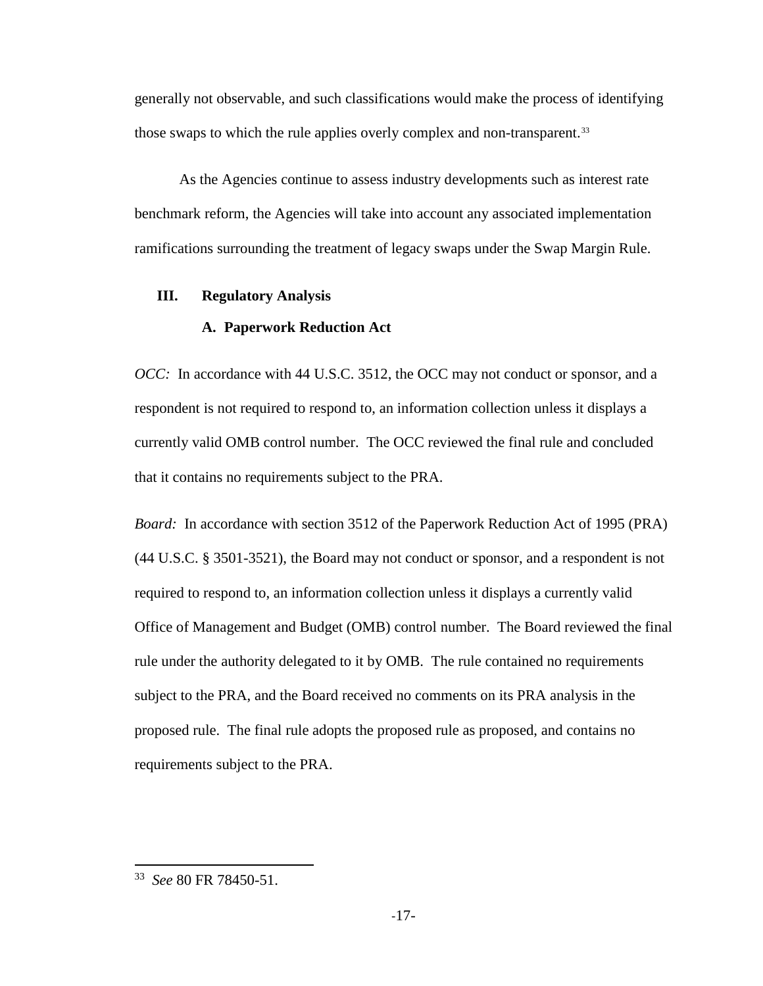generally not observable, and such classifications would make the process of identifying those swaps to which the rule applies overly complex and non-transparent.<sup>[33](#page-16-0)</sup>

As the Agencies continue to assess industry developments such as interest rate benchmark reform, the Agencies will take into account any associated implementation ramifications surrounding the treatment of legacy swaps under the Swap Margin Rule.

# **III. Regulatory Analysis**

# **A. Paperwork Reduction Act**

*OCC*: In accordance with 44 U.S.C. 3512, the OCC may not conduct or sponsor, and a respondent is not required to respond to, an information collection unless it displays a currently valid OMB control number. The OCC reviewed the final rule and concluded that it contains no requirements subject to the PRA.

*Board:* In accordance with section 3512 of the Paperwork Reduction Act of 1995 (PRA) (44 U.S.C. § 3501-3521), the Board may not conduct or sponsor, and a respondent is not required to respond to, an information collection unless it displays a currently valid Office of Management and Budget (OMB) control number. The Board reviewed the final rule under the authority delegated to it by OMB. The rule contained no requirements subject to the PRA, and the Board received no comments on its PRA analysis in the proposed rule. The final rule adopts the proposed rule as proposed, and contains no requirements subject to the PRA.

<span id="page-16-0"></span><sup>33</sup> *See* 80 FR 78450-51.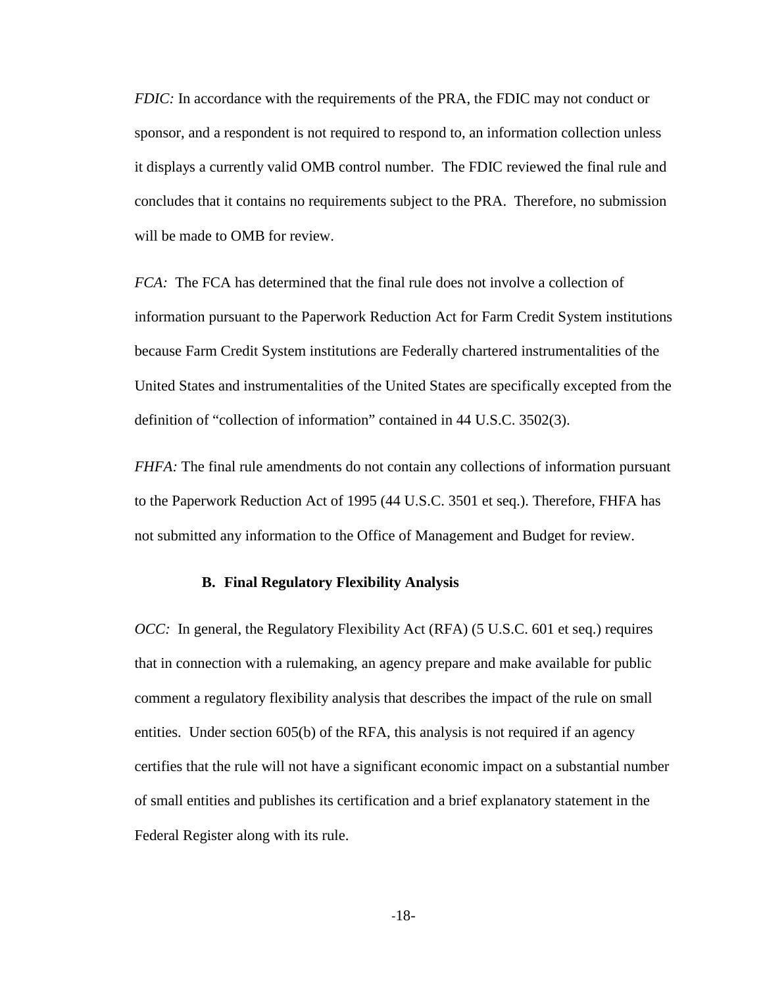*FDIC:* In accordance with the requirements of the PRA, the FDIC may not conduct or sponsor, and a respondent is not required to respond to, an information collection unless it displays a currently valid OMB control number. The FDIC reviewed the final rule and concludes that it contains no requirements subject to the PRA. Therefore, no submission will be made to OMB for review.

*FCA:* The FCA has determined that the final rule does not involve a collection of information pursuant to the Paperwork Reduction Act for Farm Credit System institutions because Farm Credit System institutions are Federally chartered instrumentalities of the United States and instrumentalities of the United States are specifically excepted from the definition of "collection of information" contained in 44 U.S.C. 3502(3).

*FHFA:* The final rule amendments do not contain any collections of information pursuant to the Paperwork Reduction Act of 1995 (44 U.S.C. 3501 et seq.). Therefore, FHFA has not submitted any information to the Office of Management and Budget for review.

# **B. Final Regulatory Flexibility Analysis**

*OCC:* In general, the Regulatory Flexibility Act (RFA) (5 U.S.C. 601 et seq.) requires that in connection with a rulemaking, an agency prepare and make available for public comment a regulatory flexibility analysis that describes the impact of the rule on small entities. Under section 605(b) of the RFA, this analysis is not required if an agency certifies that the rule will not have a significant economic impact on a substantial number of small entities and publishes its certification and a brief explanatory statement in the Federal Register along with its rule.

-18-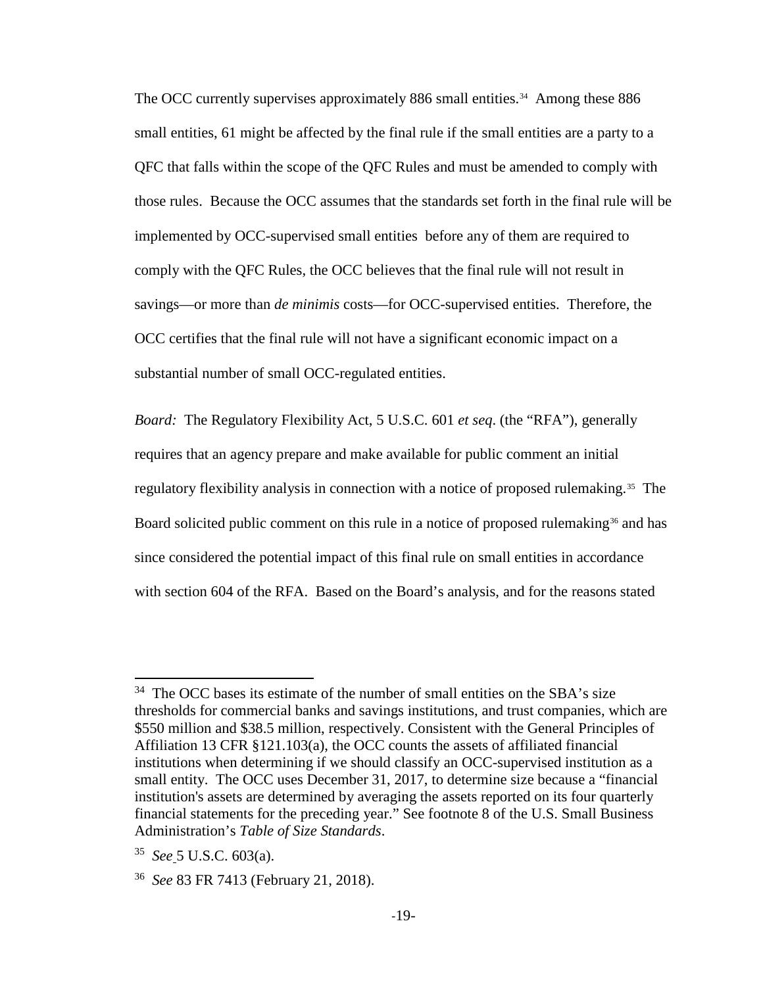The OCC currently supervises approximately 886 small entities.<sup>34</sup> Among these 886 small entities, 61 might be affected by the final rule if the small entities are a party to a QFC that falls within the scope of the QFC Rules and must be amended to comply with those rules. Because the OCC assumes that the standards set forth in the final rule will be implemented by OCC-supervised small entities before any of them are required to comply with the QFC Rules, the OCC believes that the final rule will not result in savings—or more than *de minimis* costs—for OCC-supervised entities. Therefore, the OCC certifies that the final rule will not have a significant economic impact on a substantial number of small OCC-regulated entities.

*Board:* The Regulatory Flexibility Act, 5 U.S.C. 601 *et seq*. (the "RFA"), generally requires that an agency prepare and make available for public comment an initial regulatory flexibility analysis in connection with a notice of proposed rulemaking.<sup>35</sup> The Board solicited public comment on this rule in a notice of proposed rulemaking<sup>[36](#page-18-2)</sup> and has since considered the potential impact of this final rule on small entities in accordance with section 604 of the RFA. Based on the Board's analysis, and for the reasons stated

<span id="page-18-0"></span> $34$  The OCC bases its estimate of the number of small entities on the SBA's size thresholds for commercial banks and savings institutions, and trust companies, which are \$550 million and \$38.5 million, respectively. Consistent with the General Principles of Affiliation 13 CFR §121.103(a), the OCC counts the assets of affiliated financial institutions when determining if we should classify an OCC-supervised institution as a small entity. The OCC uses December 31, 2017, to determine size because a "financial institution's assets are determined by averaging the assets reported on its four quarterly financial statements for the preceding year." See footnote 8 of the U.S. Small Business Administration's *Table of Size Standards*.

<span id="page-18-1"></span><sup>35</sup> *See* 5 U.S.C. 603(a).

<span id="page-18-2"></span><sup>36</sup> *See* 83 FR 7413 (February 21, 2018).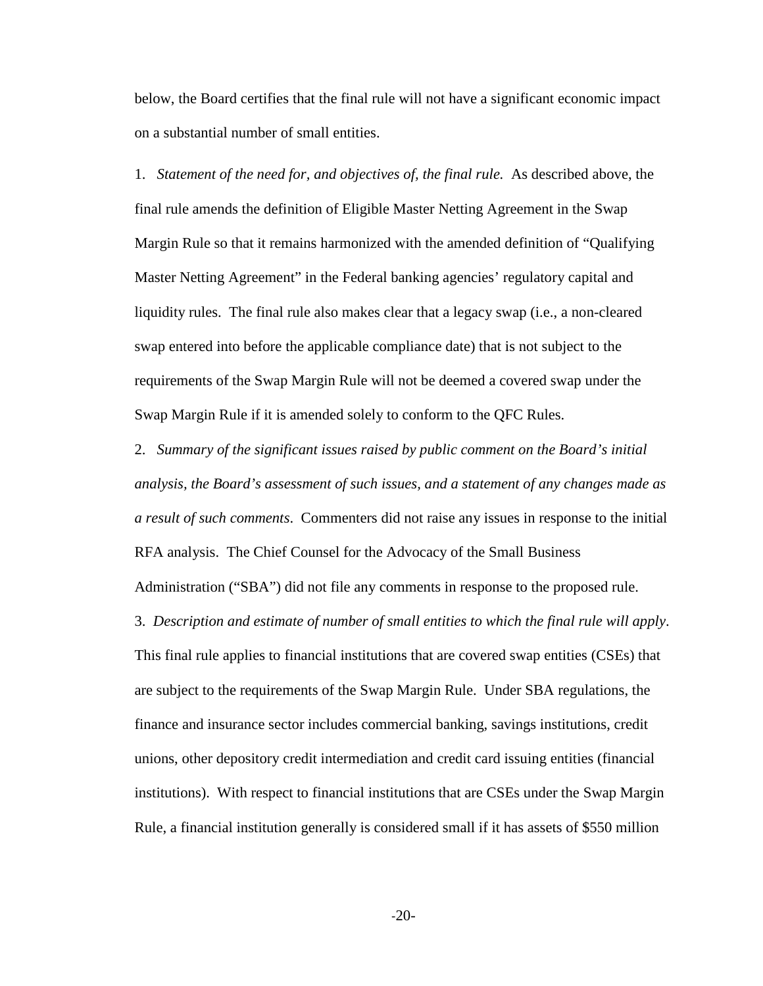below, the Board certifies that the final rule will not have a significant economic impact on a substantial number of small entities.

1. *Statement of the need for, and objectives of, the final rule.* As described above, the final rule amends the definition of Eligible Master Netting Agreement in the Swap Margin Rule so that it remains harmonized with the amended definition of "Qualifying Master Netting Agreement" in the Federal banking agencies' regulatory capital and liquidity rules. The final rule also makes clear that a legacy swap (i.e., a non-cleared swap entered into before the applicable compliance date) that is not subject to the requirements of the Swap Margin Rule will not be deemed a covered swap under the Swap Margin Rule if it is amended solely to conform to the QFC Rules.

2. *Summary of the significant issues raised by public comment on the Board's initial analysis, the Board's assessment of such issues, and a statement of any changes made as a result of such comments*. Commenters did not raise any issues in response to the initial RFA analysis. The Chief Counsel for the Advocacy of the Small Business

Administration ("SBA") did not file any comments in response to the proposed rule.

3. *Description and estimate of number of small entities to which the final rule will apply*. This final rule applies to financial institutions that are covered swap entities (CSEs) that are subject to the requirements of the Swap Margin Rule. Under SBA regulations, the finance and insurance sector includes commercial banking, savings institutions, credit unions, other depository credit intermediation and credit card issuing entities (financial institutions). With respect to financial institutions that are CSEs under the Swap Margin Rule, a financial institution generally is considered small if it has assets of \$550 million

-20-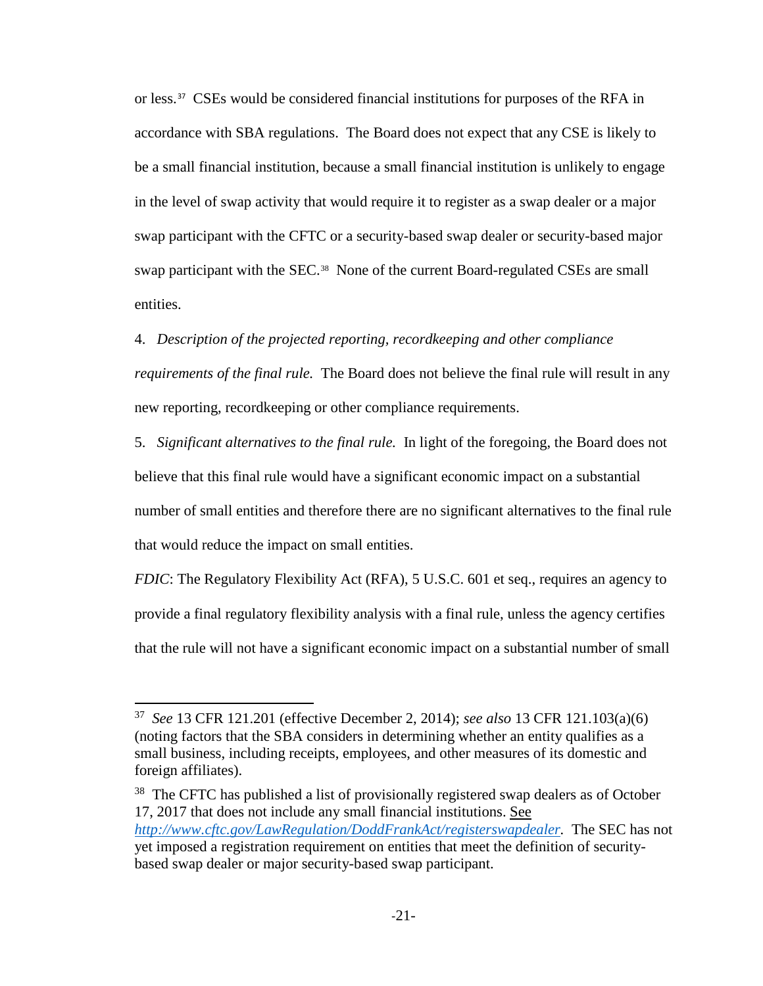or less.[37](#page-20-0) CSEs would be considered financial institutions for purposes of the RFA in accordance with SBA regulations. The Board does not expect that any CSE is likely to be a small financial institution, because a small financial institution is unlikely to engage in the level of swap activity that would require it to register as a swap dealer or a major swap participant with the CFTC or a security-based swap dealer or security-based major swap participant with the SEC.<sup>[38](#page-20-1)</sup> None of the current Board-regulated CSEs are small entities.

# 4. *Description of the projected reporting, recordkeeping and other compliance*

*requirements of the final rule.* The Board does not believe the final rule will result in any new reporting, recordkeeping or other compliance requirements.

5. *Significant alternatives to the final rule.* In light of the foregoing, the Board does not believe that this final rule would have a significant economic impact on a substantial number of small entities and therefore there are no significant alternatives to the final rule that would reduce the impact on small entities.

*FDIC*: The Regulatory Flexibility Act (RFA), 5 U.S.C. 601 et seq., requires an agency to provide a final regulatory flexibility analysis with a final rule, unless the agency certifies that the rule will not have a significant economic impact on a substantial number of small

 $\overline{a}$ 

<span id="page-20-0"></span><sup>37</sup> *See* 13 CFR 121.201 (effective December 2, 2014); *see also* 13 CFR 121.103(a)(6) (noting factors that the SBA considers in determining whether an entity qualifies as a small business, including receipts, employees, and other measures of its domestic and foreign affiliates).

<span id="page-20-1"></span><sup>&</sup>lt;sup>38</sup> The CFTC has published a list of provisionally registered swap dealers as of October 17, 2017 that does not include any small financial institutions. See *[http://www.cftc.gov/LawRegulation/DoddFrankAct/registerswapdealer.](http://www.cftc.gov/LawRegulation/DoddFrankAct/registerswapdealer)* The SEC has not yet imposed a registration requirement on entities that meet the definition of securitybased swap dealer or major security-based swap participant.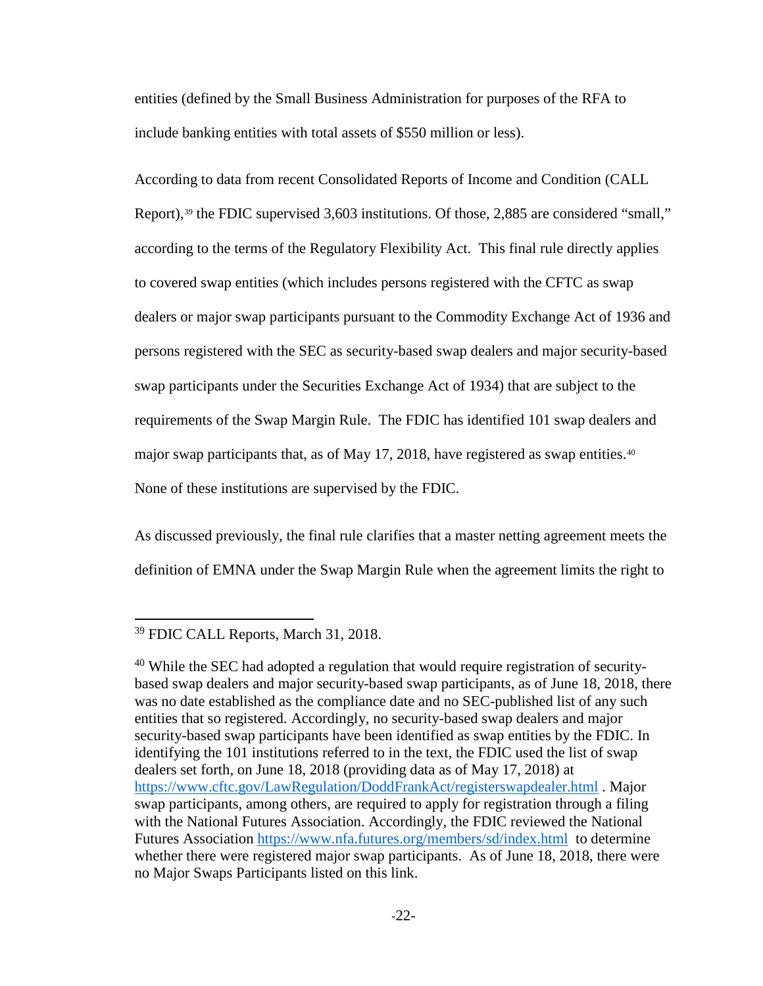entities (defined by the Small Business Administration for purposes of the RFA to include banking entities with total assets of \$550 million or less).

According to data from recent Consolidated Reports of Income and Condition (CALL Report),<sup>[39](#page-21-0)</sup> the FDIC supervised  $3,603$  institutions. Of those, 2,885 are considered "small," according to the terms of the Regulatory Flexibility Act. This final rule directly applies to covered swap entities (which includes persons registered with the CFTC as swap dealers or major swap participants pursuant to the Commodity Exchange Act of 1936 and persons registered with the SEC as security-based swap dealers and major security-based swap participants under the Securities Exchange Act of 1934) that are subject to the requirements of the Swap Margin Rule. The FDIC has identified 101 swap dealers and major swap participants that, as of May 17, 2018, have registered as swap entities.<sup>40</sup> None of these institutions are supervised by the FDIC.

As discussed previously, the final rule clarifies that a master netting agreement meets the definition of EMNA under the Swap Margin Rule when the agreement limits the right to

 $\overline{\phantom{a}}$ 

<span id="page-21-0"></span><sup>39</sup> FDIC CALL Reports, March 31, 2018.

<span id="page-21-1"></span><sup>&</sup>lt;sup>40</sup> While the SEC had adopted a regulation that would require registration of securitybased swap dealers and major security-based swap participants, as of June 18, 2018, there was no date established as the compliance date and no SEC-published list of any such entities that so registered. Accordingly, no security-based swap dealers and major security-based swap participants have been identified as swap entities by the FDIC. In identifying the 101 institutions referred to in the text, the FDIC used the list of swap dealers set forth, on June 18, 2018 (providing data as of May 17, 2018) at <https://www.cftc.gov/LawRegulation/DoddFrankAct/registerswapdealer.html> . Major swap participants, among others, are required to apply for registration through a filing with the National Futures Association. Accordingly, the FDIC reviewed the National Futures Association<https://www.nfa.futures.org/members/sd/index.html>to determine whether there were registered major swap participants. As of June 18, 2018, there were no Major Swaps Participants listed on this link.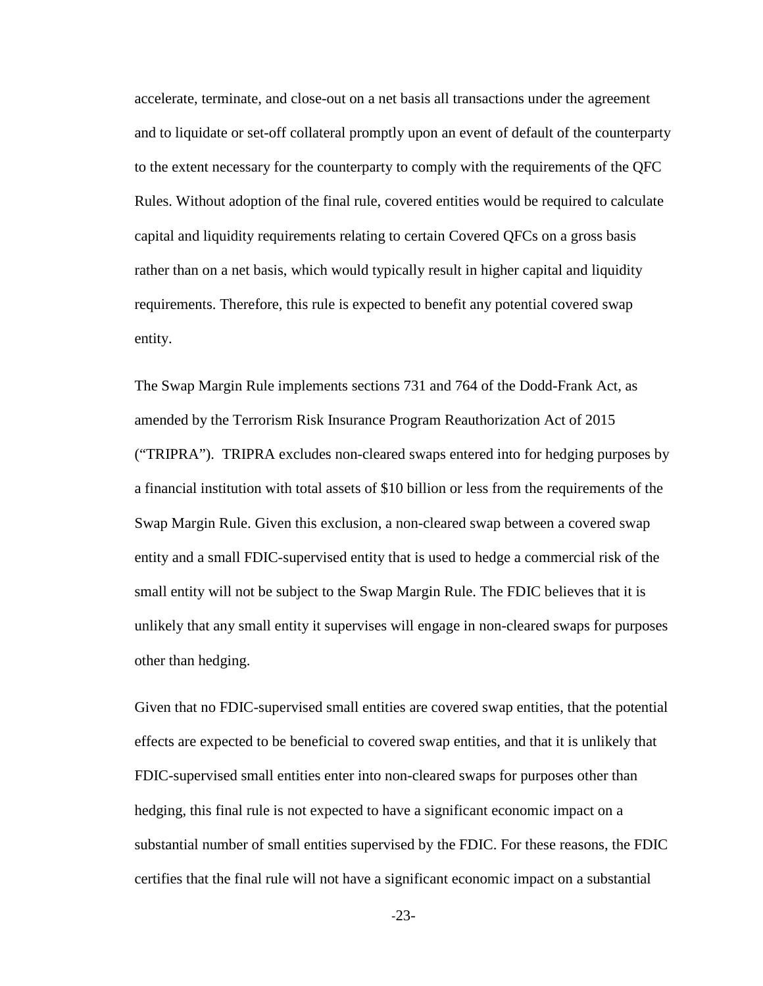accelerate, terminate, and close-out on a net basis all transactions under the agreement and to liquidate or set-off collateral promptly upon an event of default of the counterparty to the extent necessary for the counterparty to comply with the requirements of the QFC Rules. Without adoption of the final rule, covered entities would be required to calculate capital and liquidity requirements relating to certain Covered QFCs on a gross basis rather than on a net basis, which would typically result in higher capital and liquidity requirements. Therefore, this rule is expected to benefit any potential covered swap entity.

The Swap Margin Rule implements sections 731 and 764 of the Dodd-Frank Act, as amended by the Terrorism Risk Insurance Program Reauthorization Act of 2015 ("TRIPRA"). TRIPRA excludes non-cleared swaps entered into for hedging purposes by a financial institution with total assets of \$10 billion or less from the requirements of the Swap Margin Rule. Given this exclusion, a non-cleared swap between a covered swap entity and a small FDIC-supervised entity that is used to hedge a commercial risk of the small entity will not be subject to the Swap Margin Rule. The FDIC believes that it is unlikely that any small entity it supervises will engage in non-cleared swaps for purposes other than hedging.

Given that no FDIC-supervised small entities are covered swap entities, that the potential effects are expected to be beneficial to covered swap entities, and that it is unlikely that FDIC-supervised small entities enter into non-cleared swaps for purposes other than hedging, this final rule is not expected to have a significant economic impact on a substantial number of small entities supervised by the FDIC. For these reasons, the FDIC certifies that the final rule will not have a significant economic impact on a substantial

-23-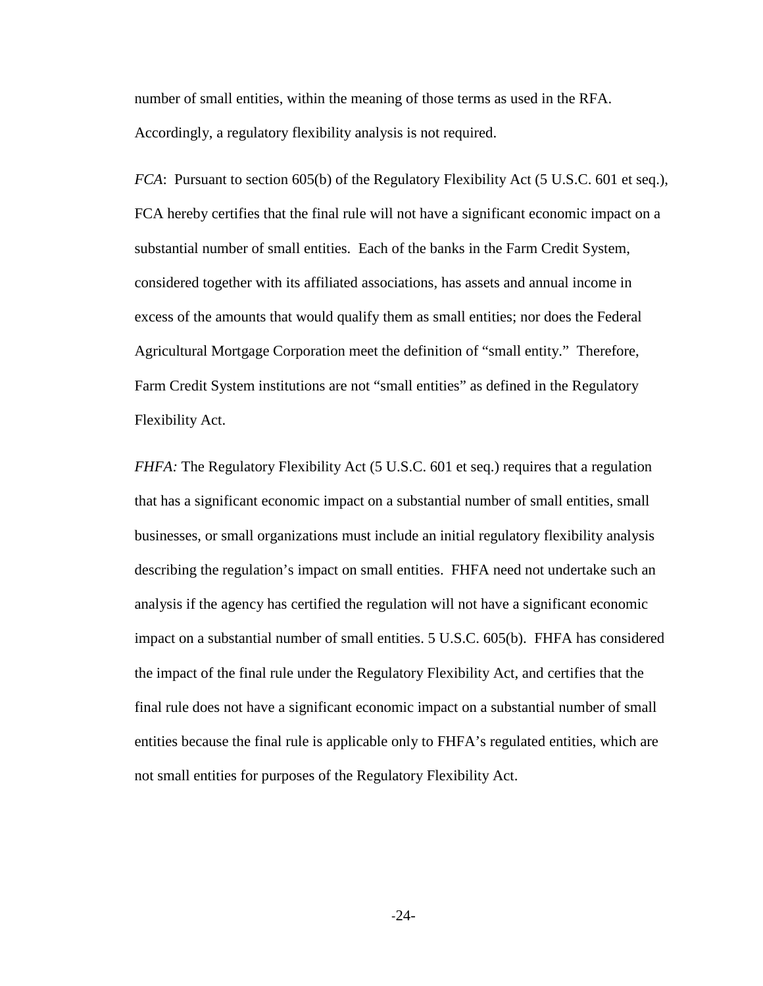number of small entities, within the meaning of those terms as used in the RFA. Accordingly, a regulatory flexibility analysis is not required.

*FCA*: Pursuant to section 605(b) of the Regulatory Flexibility Act (5 U.S.C. 601 et seq.), FCA hereby certifies that the final rule will not have a significant economic impact on a substantial number of small entities. Each of the banks in the Farm Credit System, considered together with its affiliated associations, has assets and annual income in excess of the amounts that would qualify them as small entities; nor does the Federal Agricultural Mortgage Corporation meet the definition of "small entity." Therefore, Farm Credit System institutions are not "small entities" as defined in the Regulatory Flexibility Act.

*FHFA:* The Regulatory Flexibility Act (5 U.S.C. 601 et seq.) requires that a regulation that has a significant economic impact on a substantial number of small entities, small businesses, or small organizations must include an initial regulatory flexibility analysis describing the regulation's impact on small entities. FHFA need not undertake such an analysis if the agency has certified the regulation will not have a significant economic impact on a substantial number of small entities. 5 U.S.C. 605(b). FHFA has considered the impact of the final rule under the Regulatory Flexibility Act, and certifies that the final rule does not have a significant economic impact on a substantial number of small entities because the final rule is applicable only to FHFA's regulated entities, which are not small entities for purposes of the Regulatory Flexibility Act.

-24-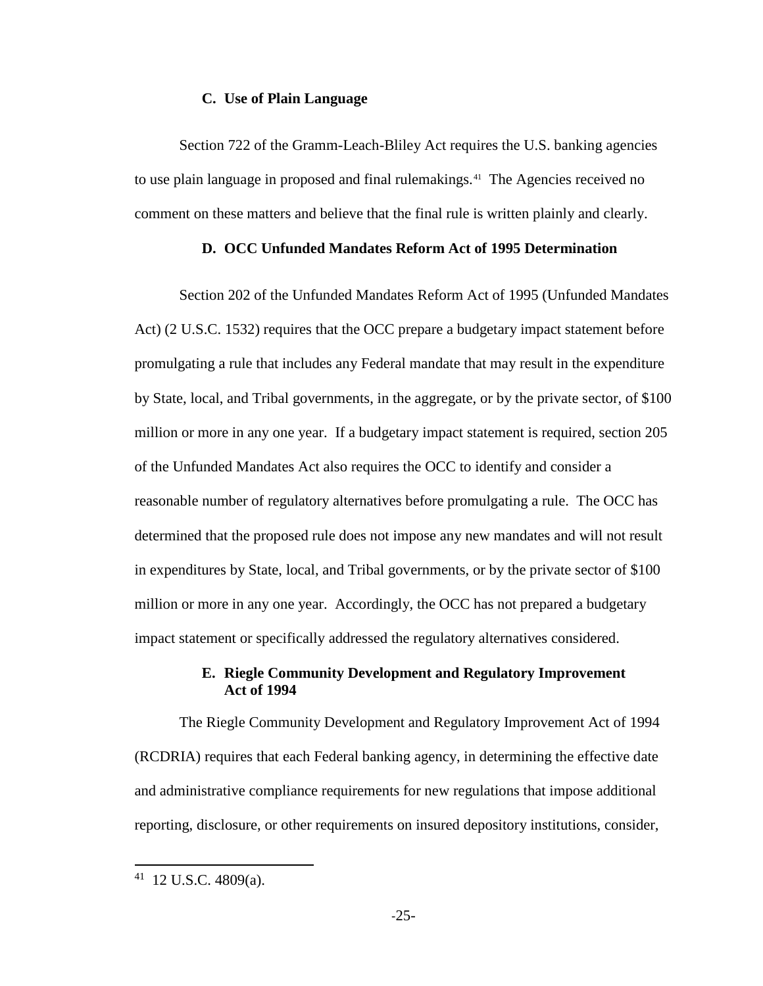#### **C. Use of Plain Language**

Section 722 of the Gramm-Leach-Bliley Act requires the U.S. banking agencies to use plain language in proposed and final rulemakings.<sup>41</sup> The Agencies received no comment on these matters and believe that the final rule is written plainly and clearly.

# **D. OCC Unfunded Mandates Reform Act of 1995 Determination**

Section 202 of the Unfunded Mandates Reform Act of 1995 (Unfunded Mandates Act) (2 U.S.C. 1532) requires that the OCC prepare a budgetary impact statement before promulgating a rule that includes any Federal mandate that may result in the expenditure by State, local, and Tribal governments, in the aggregate, or by the private sector, of \$100 million or more in any one year. If a budgetary impact statement is required, section 205 of the Unfunded Mandates Act also requires the OCC to identify and consider a reasonable number of regulatory alternatives before promulgating a rule. The OCC has determined that the proposed rule does not impose any new mandates and will not result in expenditures by State, local, and Tribal governments, or by the private sector of \$100 million or more in any one year. Accordingly, the OCC has not prepared a budgetary impact statement or specifically addressed the regulatory alternatives considered.

# **E. Riegle Community Development and Regulatory Improvement Act of 1994**

The Riegle Community Development and Regulatory Improvement Act of 1994 (RCDRIA) requires that each Federal banking agency, in determining the effective date and administrative compliance requirements for new regulations that impose additional reporting, disclosure, or other requirements on insured depository institutions, consider,

<span id="page-24-0"></span> $41$  12 U.S.C. 4809(a).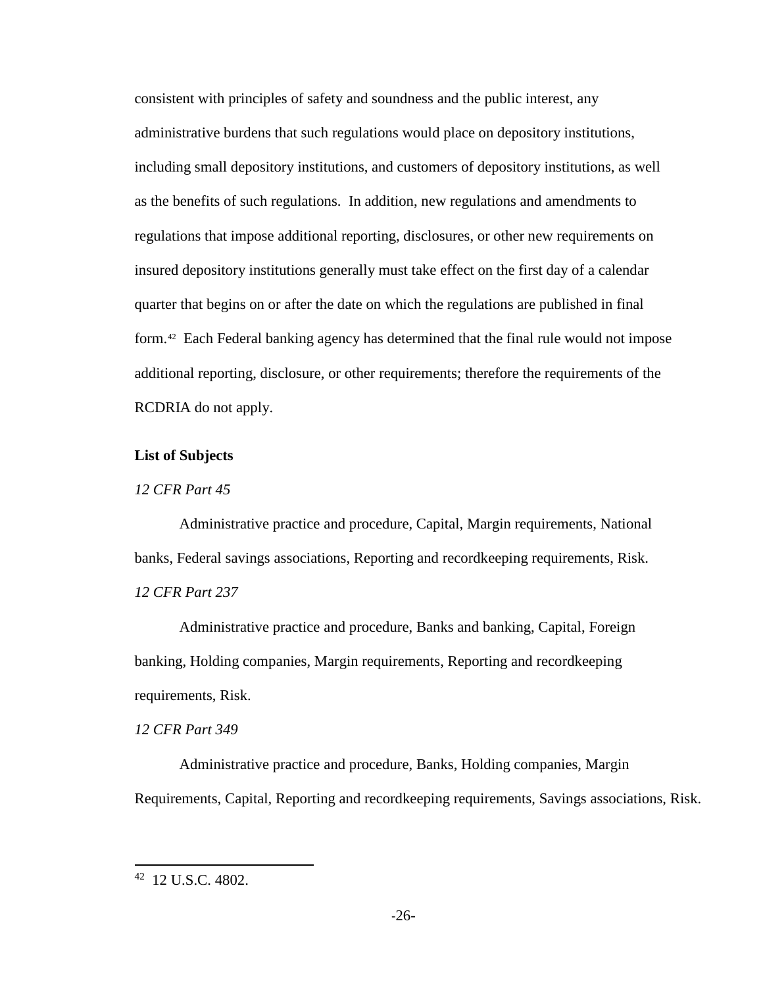consistent with principles of safety and soundness and the public interest, any administrative burdens that such regulations would place on depository institutions, including small depository institutions, and customers of depository institutions, as well as the benefits of such regulations. In addition, new regulations and amendments to regulations that impose additional reporting, disclosures, or other new requirements on insured depository institutions generally must take effect on the first day of a calendar quarter that begins on or after the date on which the regulations are published in final form.[42](#page-25-0) Each Federal banking agency has determined that the final rule would not impose additional reporting, disclosure, or other requirements; therefore the requirements of the RCDRIA do not apply.

# **List of Subjects**

## *12 CFR Part 45*

Administrative practice and procedure, Capital, Margin requirements, National banks, Federal savings associations, Reporting and recordkeeping requirements, Risk. *12 CFR Part 237*

Administrative practice and procedure, Banks and banking, Capital, Foreign banking, Holding companies, Margin requirements, Reporting and recordkeeping requirements, Risk.

# *12 CFR Part 349*

Administrative practice and procedure, Banks, Holding companies, Margin Requirements, Capital, Reporting and recordkeeping requirements, Savings associations, Risk.

<span id="page-25-0"></span><sup>42 12</sup> U.S.C. 4802.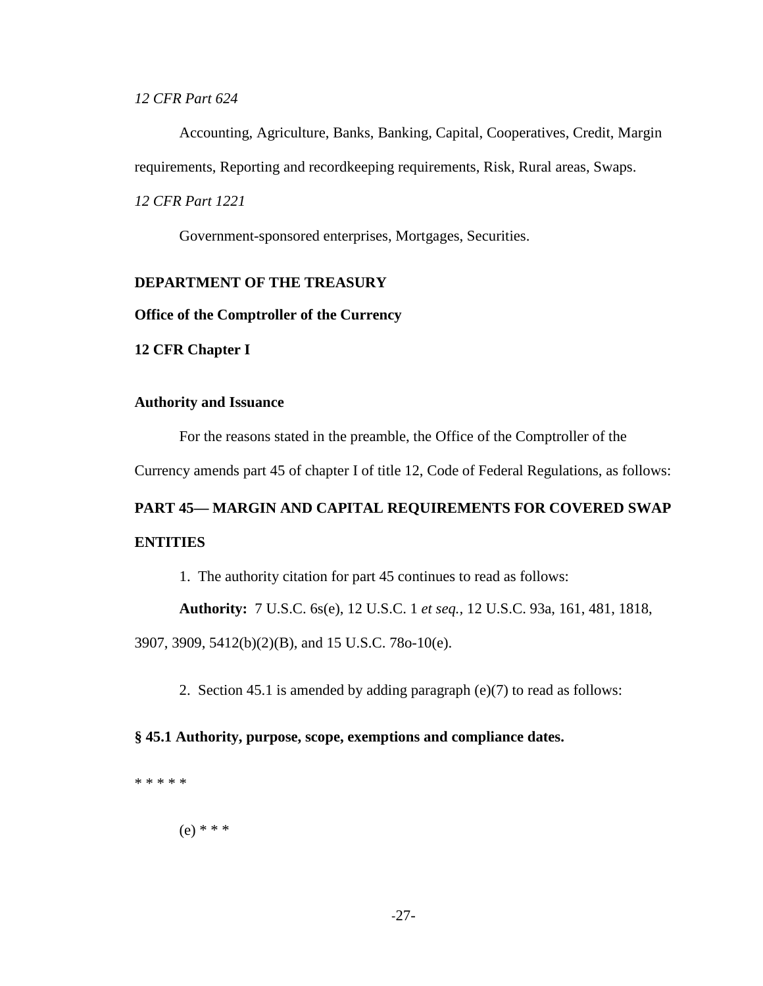*12 CFR Part 624*

Accounting, Agriculture, Banks, Banking, Capital, Cooperatives, Credit, Margin requirements, Reporting and recordkeeping requirements, Risk, Rural areas, Swaps. *12 CFR Part 1221*

Government-sponsored enterprises, Mortgages, Securities.

# **DEPARTMENT OF THE TREASURY**

**Office of the Comptroller of the Currency**

**12 CFR Chapter I**

#### **Authority and Issuance**

For the reasons stated in the preamble, the Office of the Comptroller of the

Currency amends part 45 of chapter I of title 12, Code of Federal Regulations, as follows:

# **PART 45— MARGIN AND CAPITAL REQUIREMENTS FOR COVERED SWAP ENTITIES**

1. The authority citation for part 45 continues to read as follows:

**Authority:** 7 U.S.C. 6s(e), 12 U.S.C. 1 *et seq.,* 12 U.S.C. 93a, 161, 481, 1818,

3907, 3909, 5412(b)(2)(B), and 15 U.S.C. 78o-10(e).

2. Section 45.1 is amended by adding paragraph (e)(7) to read as follows:

## **§ 45.1 Authority, purpose, scope, exemptions and compliance dates.**

\* \* \* \* \*

(e) \* \* \*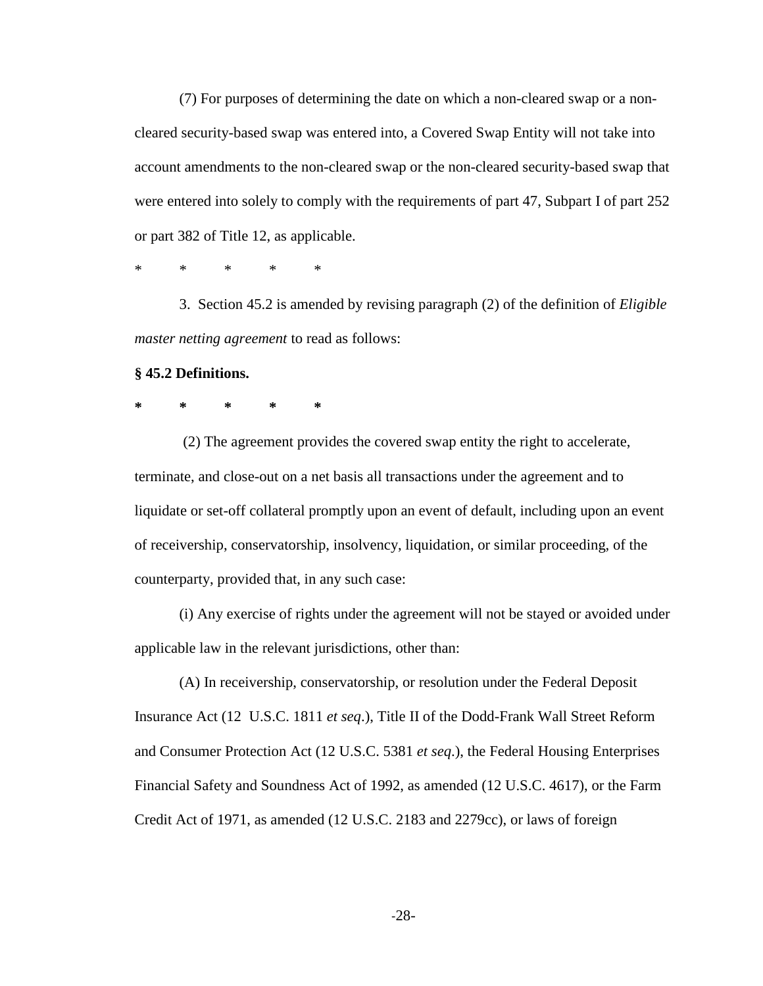(7) For purposes of determining the date on which a non-cleared swap or a noncleared security-based swap was entered into, a Covered Swap Entity will not take into account amendments to the non-cleared swap or the non-cleared security-based swap that were entered into solely to comply with the requirements of part 47, Subpart I of part 252 or part 382 of Title 12, as applicable.

\* \* \* \* \*

3. Section 45.2 is amended by revising paragraph (2) of the definition of *Eligible master netting agreement* to read as follows:

#### **§ 45.2 Definitions.**

**\* \* \* \* \***

(2) The agreement provides the covered swap entity the right to accelerate, terminate, and close-out on a net basis all transactions under the agreement and to liquidate or set-off collateral promptly upon an event of default, including upon an event of receivership, conservatorship, insolvency, liquidation, or similar proceeding, of the counterparty, provided that, in any such case:

(i) Any exercise of rights under the agreement will not be stayed or avoided under applicable law in the relevant jurisdictions, other than:

(A) In receivership, conservatorship, or resolution under the Federal Deposit Insurance Act (12 U.S.C. 1811 *et seq*.), Title II of the Dodd-Frank Wall Street Reform and Consumer Protection Act (12 U.S.C. 5381 *et seq*.), the Federal Housing Enterprises Financial Safety and Soundness Act of 1992, as amended (12 U.S.C. 4617), or the Farm Credit Act of 1971, as amended (12 U.S.C. 2183 and 2279cc), or laws of foreign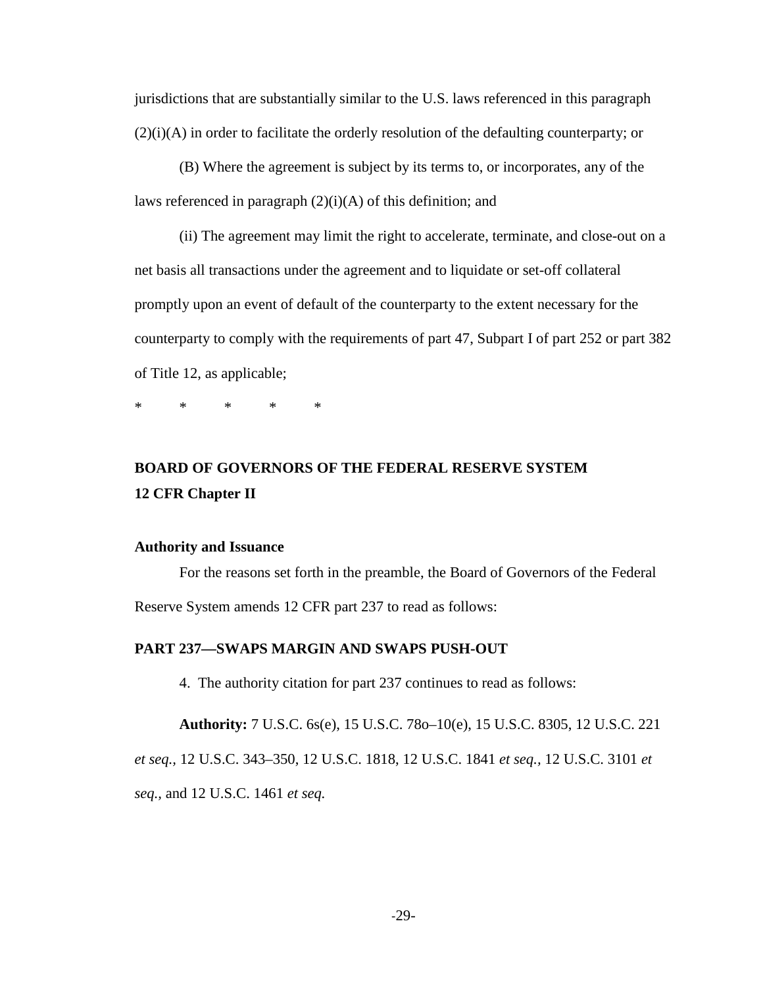jurisdictions that are substantially similar to the U.S. laws referenced in this paragraph (2)(i)(A) in order to facilitate the orderly resolution of the defaulting counterparty; or

(B) Where the agreement is subject by its terms to, or incorporates, any of the laws referenced in paragraph  $(2)(i)(A)$  of this definition; and

(ii) The agreement may limit the right to accelerate, terminate, and close-out on a net basis all transactions under the agreement and to liquidate or set-off collateral promptly upon an event of default of the counterparty to the extent necessary for the counterparty to comply with the requirements of part 47, Subpart I of part 252 or part 382 of Title 12, as applicable;

\* \* \* \* \*

# **BOARD OF GOVERNORS OF THE FEDERAL RESERVE SYSTEM 12 CFR Chapter II**

#### **Authority and Issuance**

For the reasons set forth in the preamble, the Board of Governors of the Federal Reserve System amends 12 CFR part 237 to read as follows:

#### **PART 237—SWAPS MARGIN AND SWAPS PUSH-OUT**

4. The authority citation for part 237 continues to read as follows:

**Authority:** 7 U.S.C. 6s(e), 15 U.S.C. 78o–10(e), 15 U.S.C. 8305, 12 U.S.C. 221 *et seq.,* 12 U.S.C. 343–350, 12 U.S.C. 1818, 12 U.S.C. 1841 *et seq.,* 12 U.S.C. 3101 *et seq.,* and 12 U.S.C. 1461 *et seq.*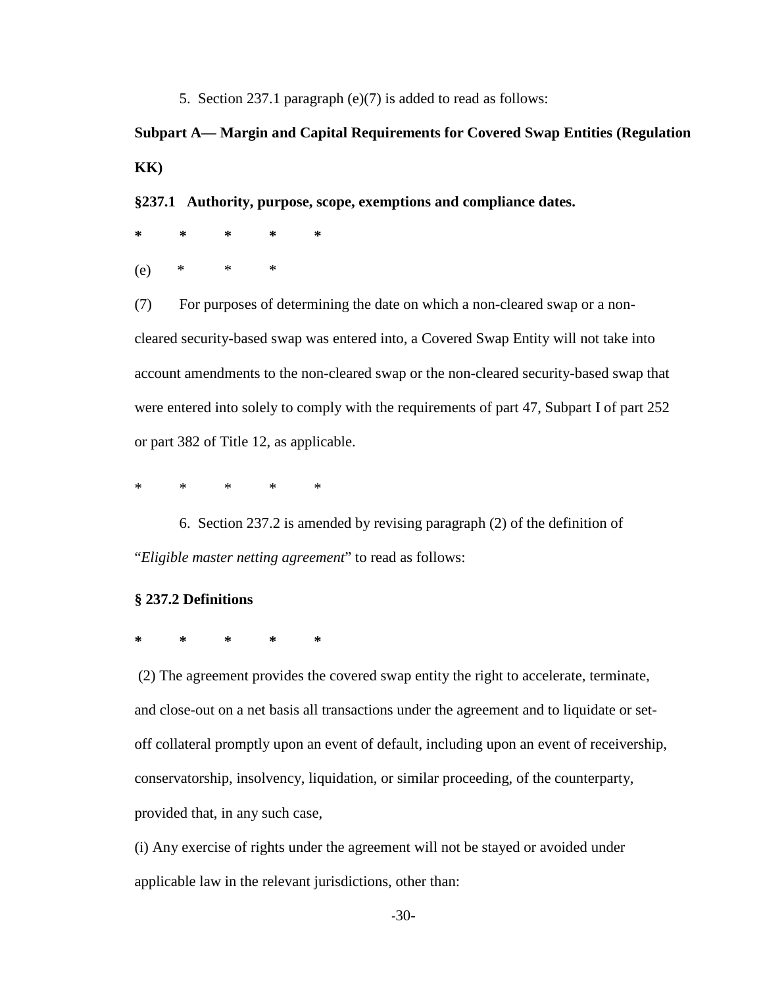5. Section 237.1 paragraph (e)(7) is added to read as follows:

# **Subpart A— Margin and Capital Requirements for Covered Swap Entities (Regulation KK)**

**§237.1 Authority, purpose, scope, exemptions and compliance dates.**

**\* \* \* \* \*** (e) \* \* \*

(7) For purposes of determining the date on which a non-cleared swap or a noncleared security-based swap was entered into, a Covered Swap Entity will not take into account amendments to the non-cleared swap or the non-cleared security-based swap that were entered into solely to comply with the requirements of part 47, Subpart I of part 252 or part 382 of Title 12, as applicable.

\* \* \* \* \*

6. Section 237.2 is amended by revising paragraph (2) of the definition of "*Eligible master netting agreement*" to read as follows:

## **§ 237.2 Definitions**

**\* \* \* \* \***

(2) The agreement provides the covered swap entity the right to accelerate, terminate, and close-out on a net basis all transactions under the agreement and to liquidate or setoff collateral promptly upon an event of default, including upon an event of receivership, conservatorship, insolvency, liquidation, or similar proceeding, of the counterparty, provided that, in any such case,

(i) Any exercise of rights under the agreement will not be stayed or avoided under applicable law in the relevant jurisdictions, other than: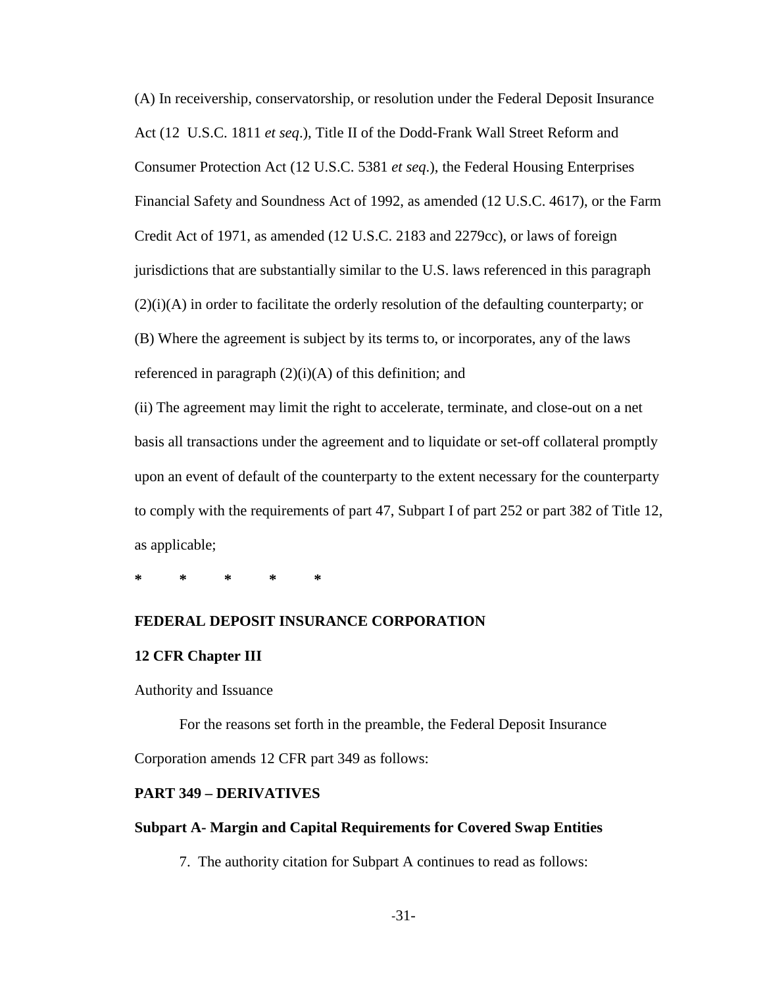(A) In receivership, conservatorship, or resolution under the Federal Deposit Insurance Act (12 U.S.C. 1811 *et seq*.), Title II of the Dodd-Frank Wall Street Reform and Consumer Protection Act (12 U.S.C. 5381 *et seq*.), the Federal Housing Enterprises Financial Safety and Soundness Act of 1992, as amended (12 U.S.C. 4617), or the Farm Credit Act of 1971, as amended (12 U.S.C. 2183 and 2279cc), or laws of foreign jurisdictions that are substantially similar to the U.S. laws referenced in this paragraph (2)(i)(A) in order to facilitate the orderly resolution of the defaulting counterparty; or (B) Where the agreement is subject by its terms to, or incorporates, any of the laws referenced in paragraph  $(2)(i)(A)$  of this definition; and

(ii) The agreement may limit the right to accelerate, terminate, and close-out on a net basis all transactions under the agreement and to liquidate or set-off collateral promptly upon an event of default of the counterparty to the extent necessary for the counterparty to comply with the requirements of part 47, Subpart I of part 252 or part 382 of Title 12, as applicable;

**\* \* \* \* \***

#### **FEDERAL DEPOSIT INSURANCE CORPORATION**

# **12 CFR Chapter III**

Authority and Issuance

For the reasons set forth in the preamble, the Federal Deposit Insurance Corporation amends 12 CFR part 349 as follows:

# **PART 349 – DERIVATIVES**

## **Subpart A- Margin and Capital Requirements for Covered Swap Entities**

7. The authority citation for Subpart A continues to read as follows: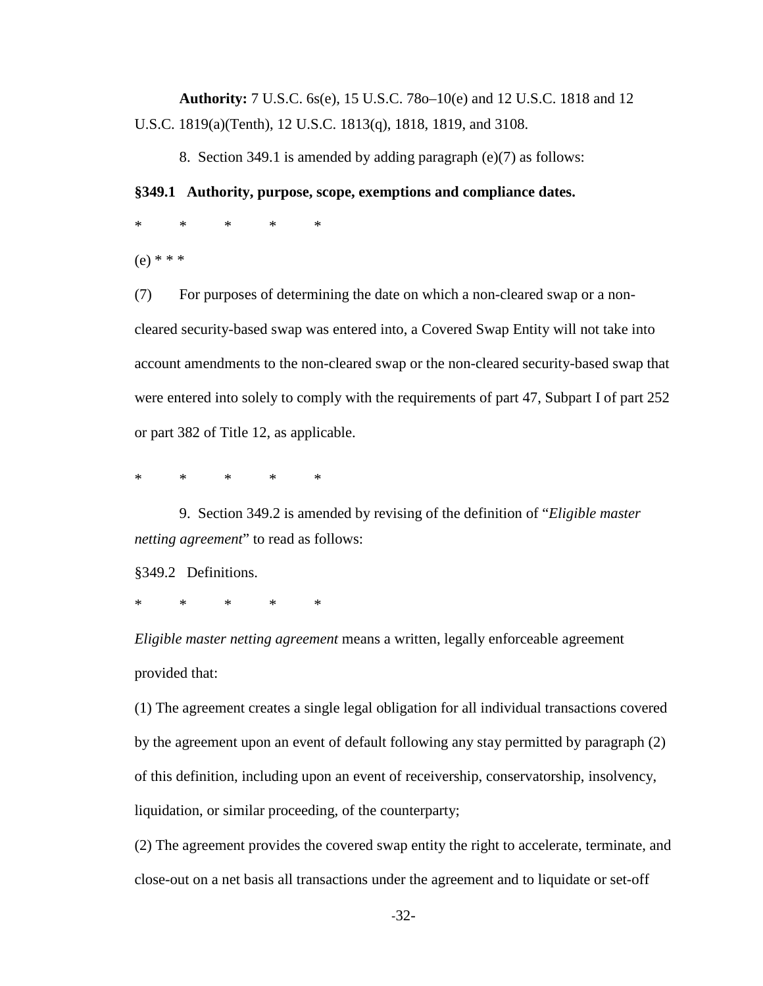**Authority:** 7 U.S.C. 6s(e), 15 U.S.C. 78o–10(e) and 12 U.S.C. 1818 and 12 U.S.C. 1819(a)(Tenth), 12 U.S.C. 1813(q), 1818, 1819, and 3108.

8. Section 349.1 is amended by adding paragraph (e)(7) as follows:

## **§349.1 Authority, purpose, scope, exemptions and compliance dates.**

\* \* \* \* \*

(e) \* \* \*

(7) For purposes of determining the date on which a non-cleared swap or a noncleared security-based swap was entered into, a Covered Swap Entity will not take into account amendments to the non-cleared swap or the non-cleared security-based swap that were entered into solely to comply with the requirements of part 47, Subpart I of part 252 or part 382 of Title 12, as applicable.

\* \* \* \* \*

9. Section 349.2 is amended by revising of the definition of "*Eligible master netting agreement*" to read as follows:

§349.2 Definitions.

\* \* \* \* \*

*Eligible master netting agreement* means a written, legally enforceable agreement provided that:

(1) The agreement creates a single legal obligation for all individual transactions covered by the agreement upon an event of default following any stay permitted by paragraph (2) of this definition, including upon an event of receivership, conservatorship, insolvency, liquidation, or similar proceeding, of the counterparty;

(2) The agreement provides the covered swap entity the right to accelerate, terminate, and close-out on a net basis all transactions under the agreement and to liquidate or set-off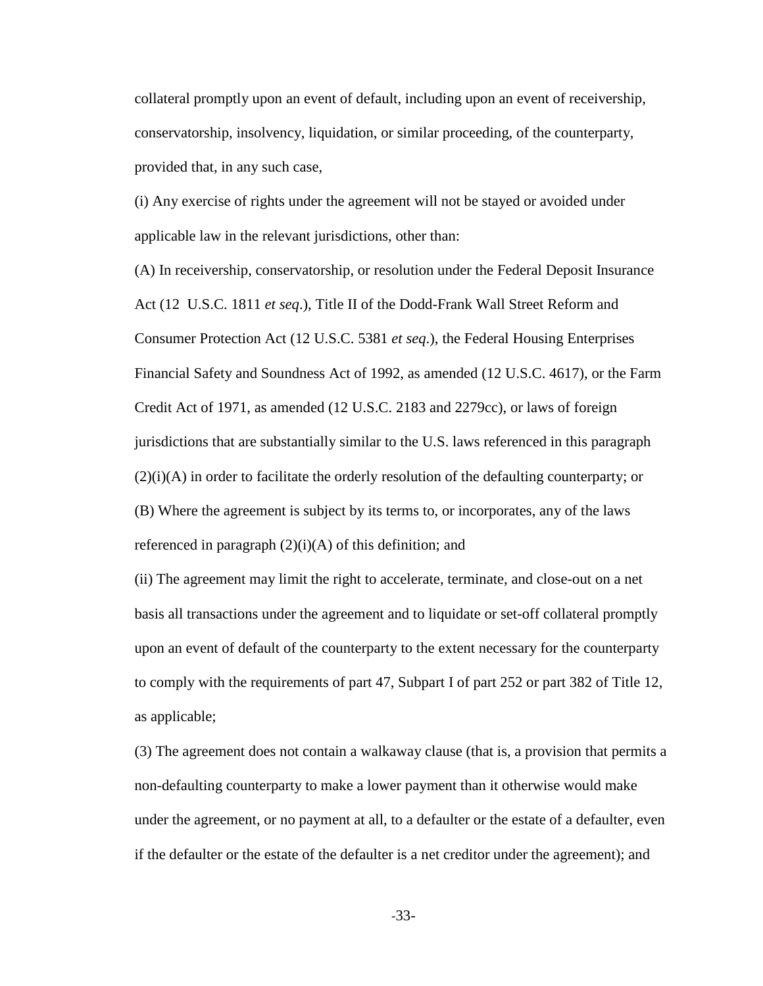collateral promptly upon an event of default, including upon an event of receivership, conservatorship, insolvency, liquidation, or similar proceeding, of the counterparty, provided that, in any such case,

(i) Any exercise of rights under the agreement will not be stayed or avoided under applicable law in the relevant jurisdictions, other than:

(A) In receivership, conservatorship, or resolution under the Federal Deposit Insurance Act (12 U.S.C. 1811 *et seq*.), Title II of the Dodd-Frank Wall Street Reform and Consumer Protection Act (12 U.S.C. 5381 *et seq*.), the Federal Housing Enterprises Financial Safety and Soundness Act of 1992, as amended (12 U.S.C. 4617), or the Farm Credit Act of 1971, as amended (12 U.S.C. 2183 and 2279cc), or laws of foreign jurisdictions that are substantially similar to the U.S. laws referenced in this paragraph  $(2)(i)$ (A) in order to facilitate the orderly resolution of the defaulting counterparty; or (B) Where the agreement is subject by its terms to, or incorporates, any of the laws referenced in paragraph  $(2)(i)(A)$  of this definition; and

(ii) The agreement may limit the right to accelerate, terminate, and close-out on a net basis all transactions under the agreement and to liquidate or set-off collateral promptly upon an event of default of the counterparty to the extent necessary for the counterparty to comply with the requirements of part 47, Subpart I of part 252 or part 382 of Title 12, as applicable;

(3) The agreement does not contain a walkaway clause (that is, a provision that permits a non-defaulting counterparty to make a lower payment than it otherwise would make under the agreement, or no payment at all, to a defaulter or the estate of a defaulter, even if the defaulter or the estate of the defaulter is a net creditor under the agreement); and

-33-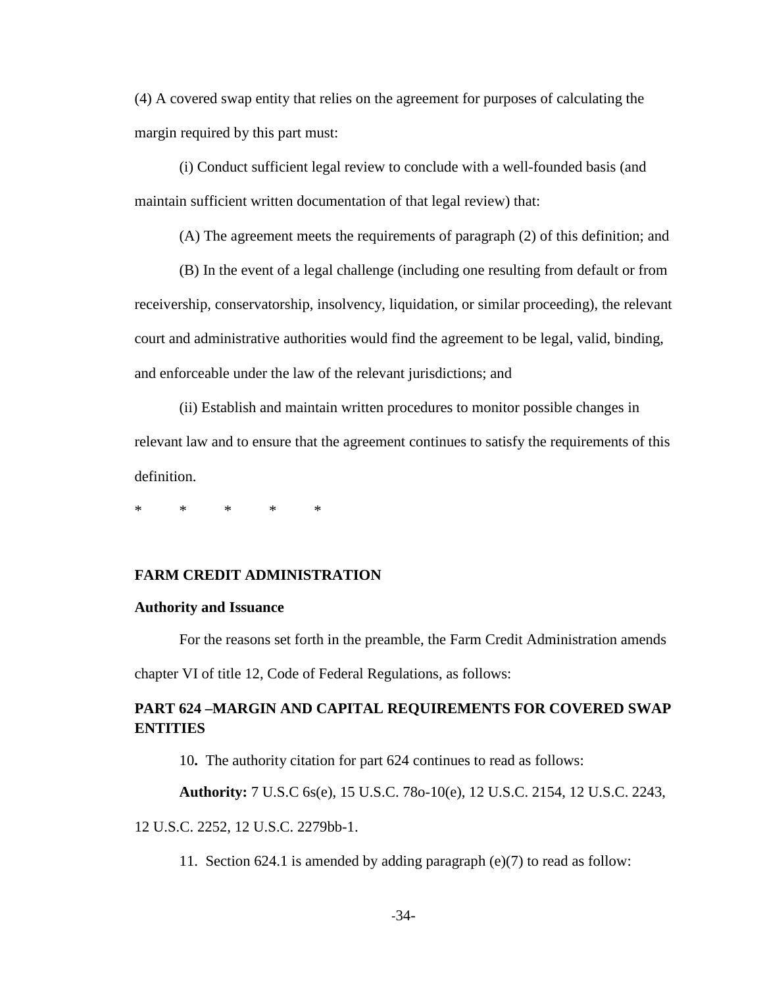(4) A covered swap entity that relies on the agreement for purposes of calculating the margin required by this part must:

(i) Conduct sufficient legal review to conclude with a well-founded basis (and maintain sufficient written documentation of that legal review) that:

(A) The agreement meets the requirements of paragraph (2) of this definition; and

(B) In the event of a legal challenge (including one resulting from default or from receivership, conservatorship, insolvency, liquidation, or similar proceeding), the relevant court and administrative authorities would find the agreement to be legal, valid, binding, and enforceable under the law of the relevant jurisdictions; and

(ii) Establish and maintain written procedures to monitor possible changes in relevant law and to ensure that the agreement continues to satisfy the requirements of this definition.

\* \* \* \* \*

# **FARM CREDIT ADMINISTRATION**

#### **Authority and Issuance**

For the reasons set forth in the preamble, the Farm Credit Administration amends chapter VI of title 12, Code of Federal Regulations, as follows:

# **PART 624 –MARGIN AND CAPITAL REQUIREMENTS FOR COVERED SWAP ENTITIES**

10**.** The authority citation for part 624 continues to read as follows:

**Authority:** 7 U.S.C 6s(e), 15 U.S.C. 78o-10(e), 12 U.S.C. 2154, 12 U.S.C. 2243,

12 U.S.C. 2252, 12 U.S.C. 2279bb-1.

11. Section 624.1 is amended by adding paragraph (e)(7) to read as follow: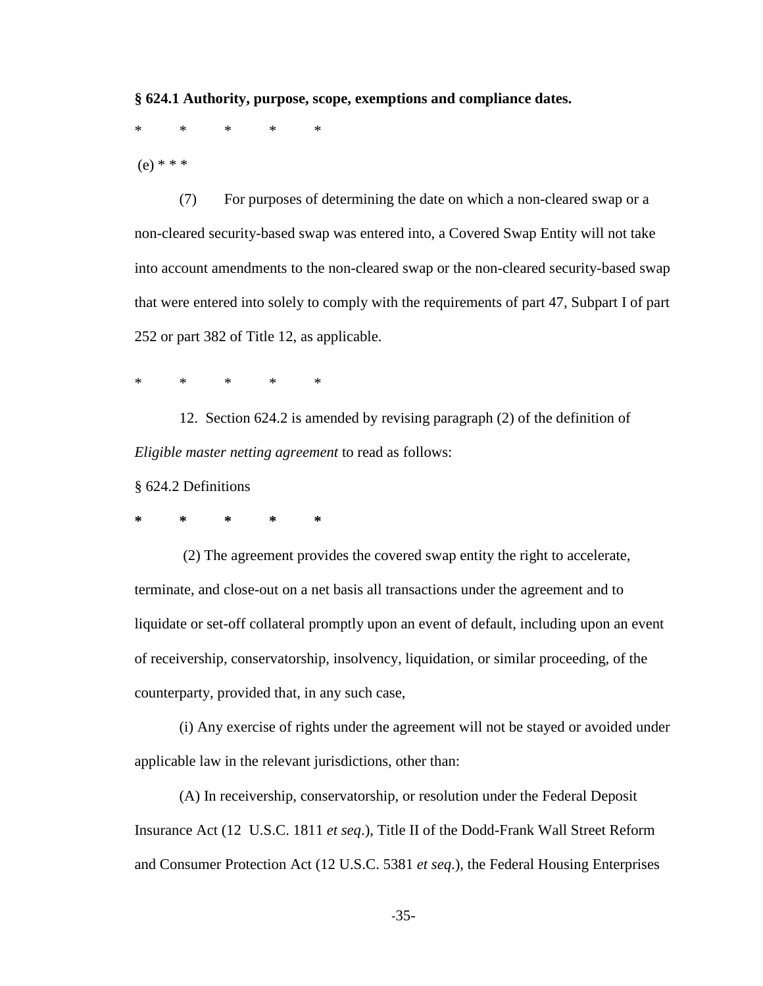**§ 624.1 Authority, purpose, scope, exemptions and compliance dates.**

\* \* \* \* \*

(e) \* \* \*

(7) For purposes of determining the date on which a non-cleared swap or a non-cleared security-based swap was entered into, a Covered Swap Entity will not take into account amendments to the non-cleared swap or the non-cleared security-based swap that were entered into solely to comply with the requirements of part 47, Subpart I of part 252 or part 382 of Title 12, as applicable.

\* \* \* \* \*

12. Section 624.2 is amended by revising paragraph (2) of the definition of *Eligible master netting agreement* to read as follows:

§ 624.2 Definitions

**\* \* \* \* \***

(2) The agreement provides the covered swap entity the right to accelerate, terminate, and close-out on a net basis all transactions under the agreement and to liquidate or set-off collateral promptly upon an event of default, including upon an event of receivership, conservatorship, insolvency, liquidation, or similar proceeding, of the counterparty, provided that, in any such case,

(i) Any exercise of rights under the agreement will not be stayed or avoided under applicable law in the relevant jurisdictions, other than:

(A) In receivership, conservatorship, or resolution under the Federal Deposit Insurance Act (12 U.S.C. 1811 *et seq*.), Title II of the Dodd-Frank Wall Street Reform and Consumer Protection Act (12 U.S.C. 5381 *et seq*.), the Federal Housing Enterprises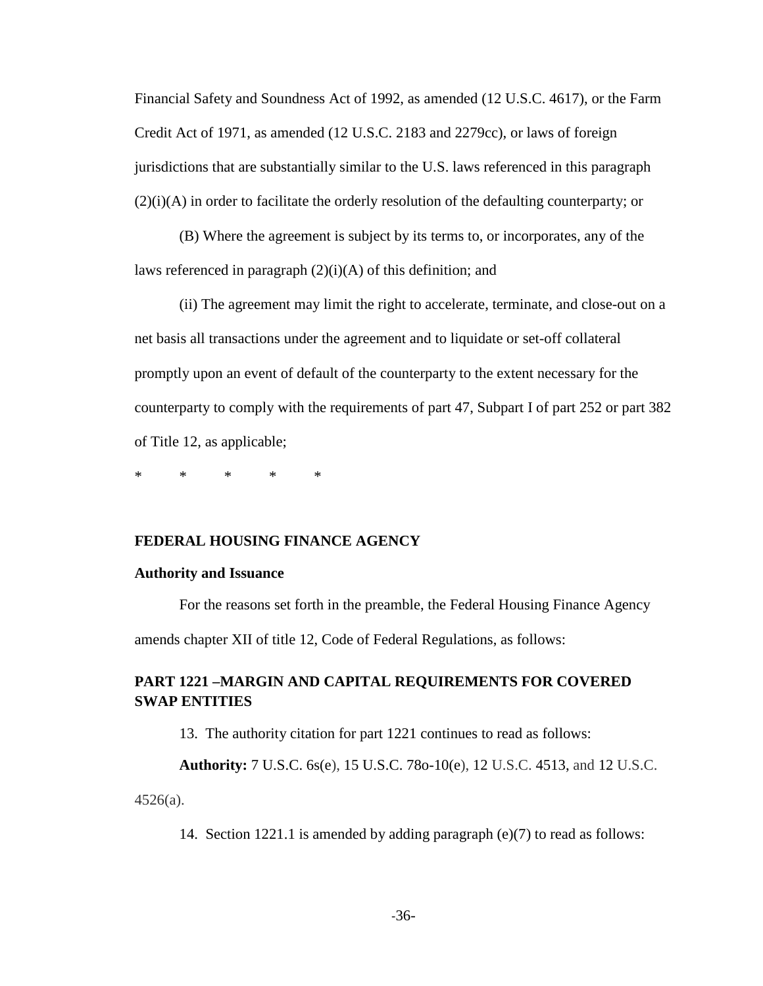Financial Safety and Soundness Act of 1992, as amended (12 U.S.C. 4617), or the Farm Credit Act of 1971, as amended (12 U.S.C. 2183 and 2279cc), or laws of foreign jurisdictions that are substantially similar to the U.S. laws referenced in this paragraph (2)(i)(A) in order to facilitate the orderly resolution of the defaulting counterparty; or

(B) Where the agreement is subject by its terms to, or incorporates, any of the laws referenced in paragraph  $(2)(i)(A)$  of this definition; and

(ii) The agreement may limit the right to accelerate, terminate, and close-out on a net basis all transactions under the agreement and to liquidate or set-off collateral promptly upon an event of default of the counterparty to the extent necessary for the counterparty to comply with the requirements of part 47, Subpart I of part 252 or part 382 of Title 12, as applicable;

\* \* \* \* \*

# **FEDERAL HOUSING FINANCE AGENCY**

#### **Authority and Issuance**

For the reasons set forth in the preamble, the Federal Housing Finance Agency amends chapter XII of title 12, Code of Federal Regulations, as follows:

# **PART 1221 –MARGIN AND CAPITAL REQUIREMENTS FOR COVERED SWAP ENTITIES**

13. The authority citation for part 1221 continues to read as follows:

**Authority:** 7 U.S.C. 6s(e), 15 U.S.C. 78o-10(e), 12 U.S.C. 4513, and 12 U.S.C.

4526(a).

14. Section 1221.1 is amended by adding paragraph (e)(7) to read as follows: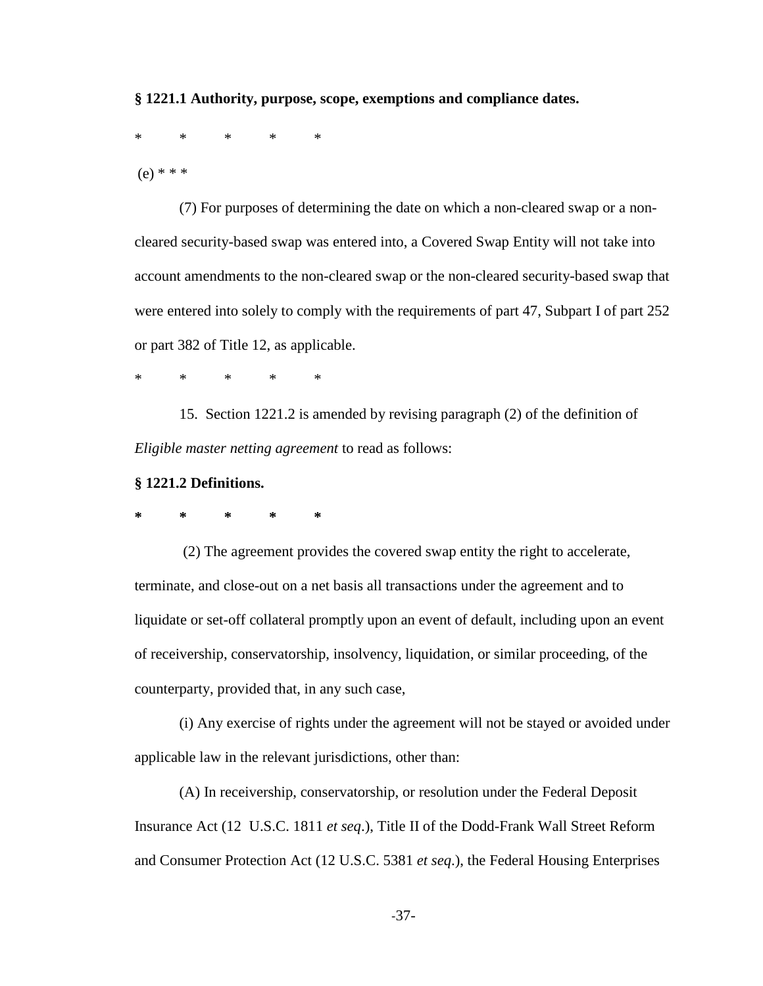## **§ 1221.1 Authority, purpose, scope, exemptions and compliance dates.**

\* \* \* \* \*

(e) \* \* \*

(7) For purposes of determining the date on which a non-cleared swap or a noncleared security-based swap was entered into, a Covered Swap Entity will not take into account amendments to the non-cleared swap or the non-cleared security-based swap that were entered into solely to comply with the requirements of part 47, Subpart I of part 252 or part 382 of Title 12, as applicable.

\* \* \* \* \*

15. Section 1221.2 is amended by revising paragraph (2) of the definition of *Eligible master netting agreement* to read as follows:

# **§ 1221.2 Definitions.**

**\* \* \* \* \***

(2) The agreement provides the covered swap entity the right to accelerate, terminate, and close-out on a net basis all transactions under the agreement and to liquidate or set-off collateral promptly upon an event of default, including upon an event of receivership, conservatorship, insolvency, liquidation, or similar proceeding, of the counterparty, provided that, in any such case,

(i) Any exercise of rights under the agreement will not be stayed or avoided under applicable law in the relevant jurisdictions, other than:

(A) In receivership, conservatorship, or resolution under the Federal Deposit Insurance Act (12 U.S.C. 1811 *et seq*.), Title II of the Dodd-Frank Wall Street Reform and Consumer Protection Act (12 U.S.C. 5381 *et seq*.), the Federal Housing Enterprises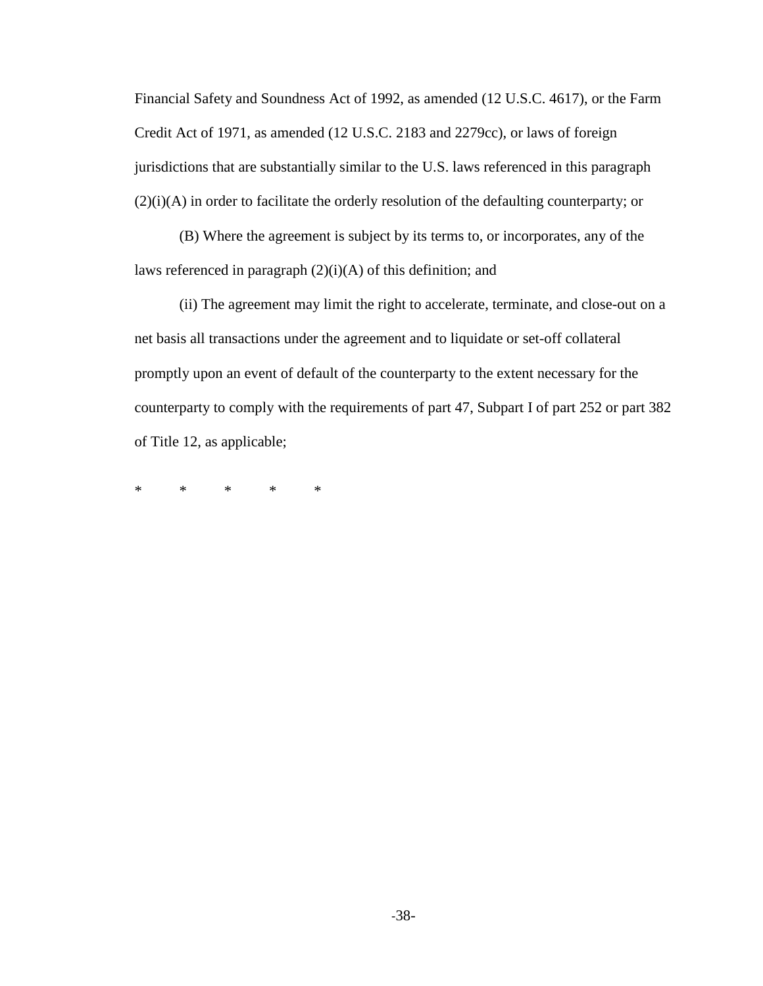Financial Safety and Soundness Act of 1992, as amended (12 U.S.C. 4617), or the Farm Credit Act of 1971, as amended (12 U.S.C. 2183 and 2279cc), or laws of foreign jurisdictions that are substantially similar to the U.S. laws referenced in this paragraph (2)(i)(A) in order to facilitate the orderly resolution of the defaulting counterparty; or

(B) Where the agreement is subject by its terms to, or incorporates, any of the laws referenced in paragraph (2)(i)(A) of this definition; and

(ii) The agreement may limit the right to accelerate, terminate, and close-out on a net basis all transactions under the agreement and to liquidate or set-off collateral promptly upon an event of default of the counterparty to the extent necessary for the counterparty to comply with the requirements of part 47, Subpart I of part 252 or part 382 of Title 12, as applicable;

\* \* \* \* \*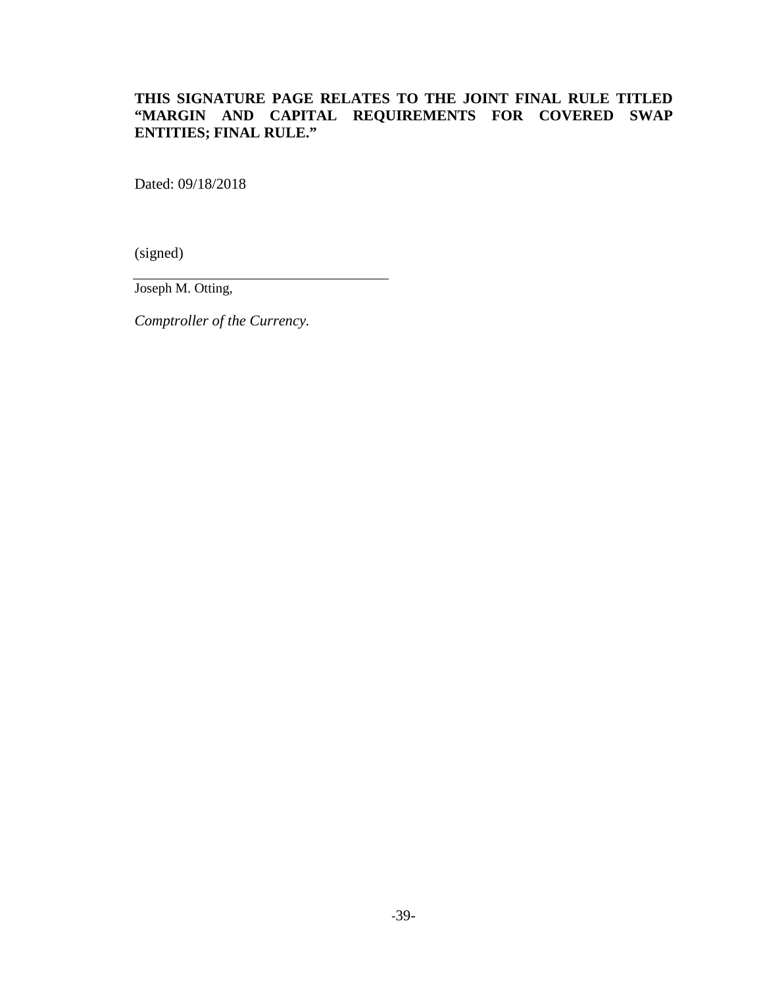# **THIS SIGNATURE PAGE RELATES TO THE JOINT FINAL RULE TITLED "MARGIN AND CAPITAL REQUIREMENTS FOR COVERED SWAP ENTITIES; FINAL RULE."**

Dated: 09/18/2018

(signed)

Joseph M. Otting,

*Comptroller of the Currency.*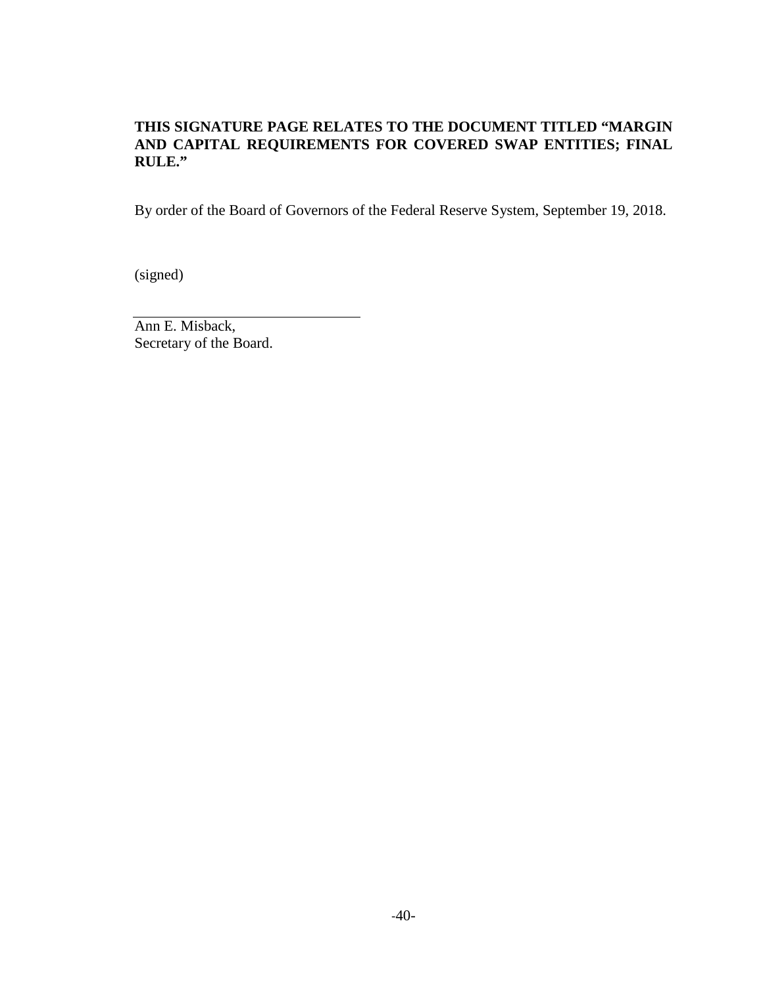# **THIS SIGNATURE PAGE RELATES TO THE DOCUMENT TITLED "MARGIN AND CAPITAL REQUIREMENTS FOR COVERED SWAP ENTITIES; FINAL RULE."**

By order of the Board of Governors of the Federal Reserve System, September 19, 2018.

(signed)

Ann E. Misback, Secretary of the Board.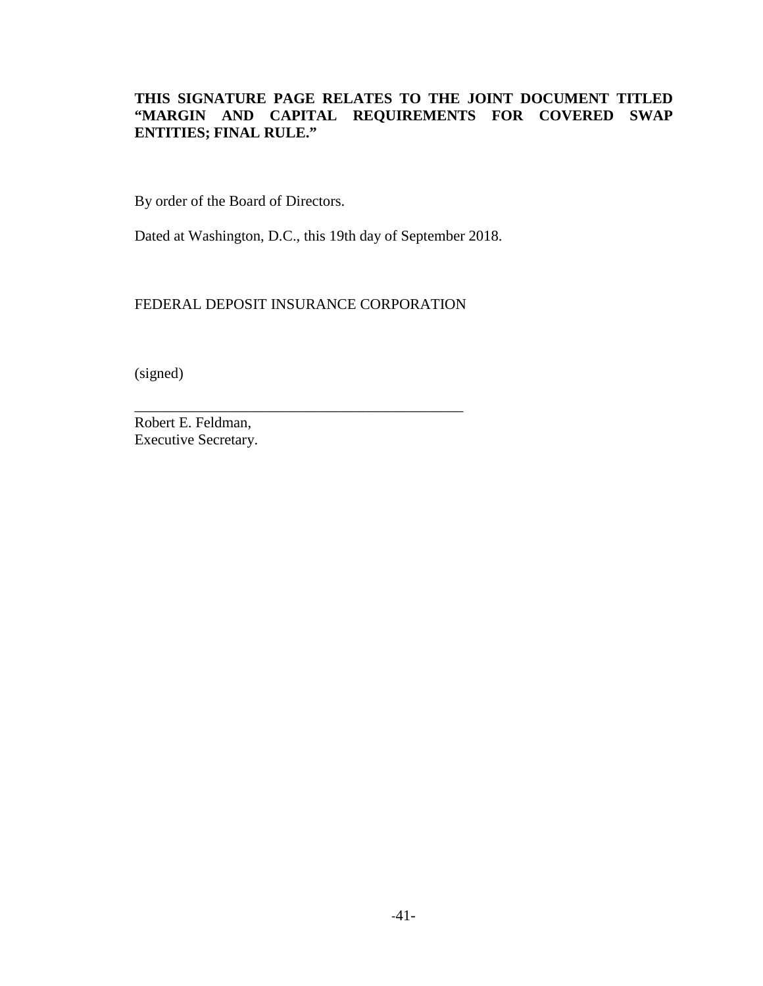# **THIS SIGNATURE PAGE RELATES TO THE JOINT DOCUMENT TITLED "MARGIN AND CAPITAL REQUIREMENTS FOR COVERED SWAP ENTITIES; FINAL RULE."**

By order of the Board of Directors.

Dated at Washington, D.C., this 19th day of September 2018.

FEDERAL DEPOSIT INSURANCE CORPORATION

\_\_\_\_\_\_\_\_\_\_\_\_\_\_\_\_\_\_\_\_\_\_\_\_\_\_\_\_\_\_\_\_\_\_\_\_\_\_\_\_\_\_\_\_

(signed)

Robert E. Feldman, Executive Secretary.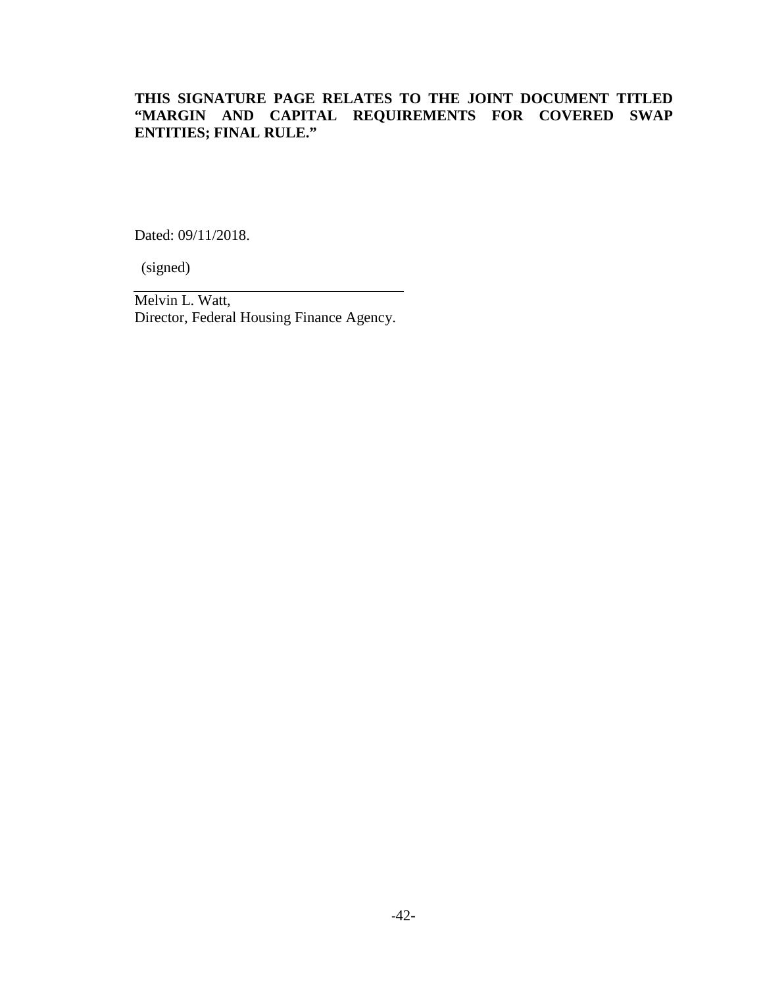# **THIS SIGNATURE PAGE RELATES TO THE JOINT DOCUMENT TITLED "MARGIN AND CAPITAL REQUIREMENTS FOR COVERED SWAP ENTITIES; FINAL RULE."**

Dated: 09/11/2018.

(signed)

Melvin L. Watt, Director, Federal Housing Finance Agency.